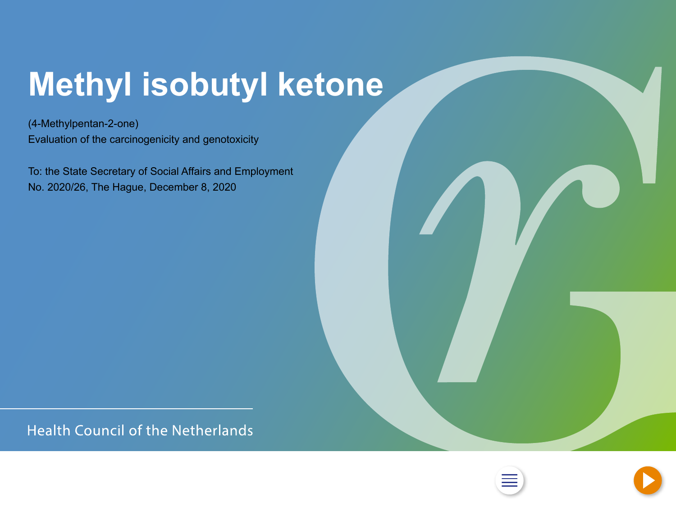# <span id="page-0-0"></span>**Methyl isobutyl ketone**

(4-Methylpentan-2-one) Evaluation of the carcinogenicity and genotoxicity

To: the State Secretary of Social Affairs and Employment No. 2020/26, The Hague, December 8, 2020

**Health Council of the Netherlands** 



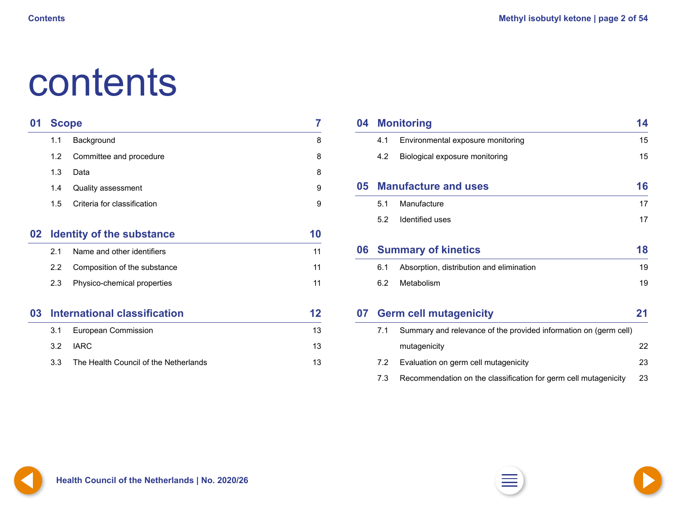# <span id="page-1-0"></span>contents

| 01 | <b>Scope</b> |                                       | 7  |
|----|--------------|---------------------------------------|----|
|    | 1.1          | Background                            | 8  |
|    | 1.2          | Committee and procedure               | 8  |
|    | 1.3          | Data                                  | 8  |
|    | 1.4          | <b>Quality assessment</b>             | 9  |
|    | 1.5          | Criteria for classification           | 9  |
| 02 |              | <b>Identity of the substance</b>      | 10 |
|    | 2.1          | Name and other identifiers            | 11 |
|    | 2.2          | Composition of the substance          | 11 |
|    | 2.3          | Physico-chemical properties           | 11 |
| 03 |              | <b>International classification</b>   | 12 |
|    | 3.1          | <b>European Commission</b>            | 13 |
|    | 3.2          | <b>IARC</b>                           | 13 |
|    | 3.3          | The Health Council of the Netherlands | 13 |

| 04 | <b>Monitoring</b> |                                                                  |    |
|----|-------------------|------------------------------------------------------------------|----|
|    | 4.1               | Environmental exposure monitoring                                | 15 |
|    | 4.2               | Biological exposure monitoring                                   | 15 |
| 05 |                   | <b>Manufacture and uses</b>                                      | 16 |
|    | 5.1               | Manufacture                                                      | 17 |
|    | 5.2               | Identified uses                                                  | 17 |
| 06 |                   | <b>Summary of kinetics</b>                                       | 18 |
|    | 6.1               | Absorption, distribution and elimination                         | 19 |
|    | 6.2               | Metabolism                                                       | 19 |
| 07 |                   | <b>Germ cell mutagenicity</b>                                    | 21 |
|    | 7.1               | Summary and relevance of the provided information on (germ cell) |    |
|    |                   | mutagenicity                                                     | 22 |
|    | 7.2               | Evaluation on germ cell mutagenicity                             | 23 |
|    | 7.3               | Recommendation on the classification for germ cell mutagenicity  | 23 |



**1** Health Council of the Netherlands | No. 2020/26 
$$
\Box
$$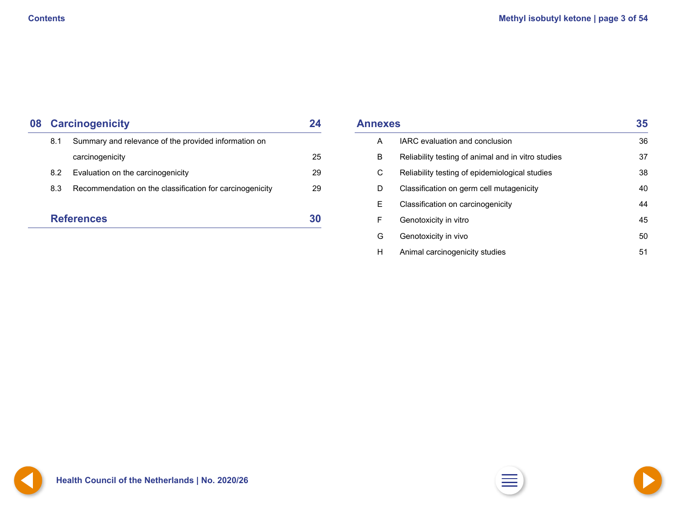<span id="page-2-0"></span>

| 08 | <b>Carcinogenicity</b>                                      |                                                          |    |  |
|----|-------------------------------------------------------------|----------------------------------------------------------|----|--|
|    | Summary and relevance of the provided information on<br>8.1 |                                                          |    |  |
|    |                                                             | carcinogenicity                                          | 25 |  |
|    | 8.2                                                         | Evaluation on the carcinogenicity                        | 29 |  |
|    | 8.3                                                         | Recommendation on the classification for carcinogenicity | 29 |  |
|    |                                                             | <b>References</b>                                        |    |  |

| <b>Annexes</b> | 35                                                 |    |
|----------------|----------------------------------------------------|----|
| A              | <b>IARC</b> evaluation and conclusion              | 36 |
| B              | Reliability testing of animal and in vitro studies | 37 |
| $\mathsf C$    | Reliability testing of epidemiological studies     | 38 |
| D              | Classification on germ cell mutagenicity           | 40 |
| E.             | Classification on carcinogenicity                  | 44 |
| F              | Genotoxicity in vitro                              | 45 |
| G              | Genotoxicity in vivo                               | 50 |
| H              | Animal carcinogenicity studies                     | 51 |

**[2](#page-1-0) Health Council of the Netherlands | No. 2020/26 [2](#page-1-0) [4](#page-3-0)**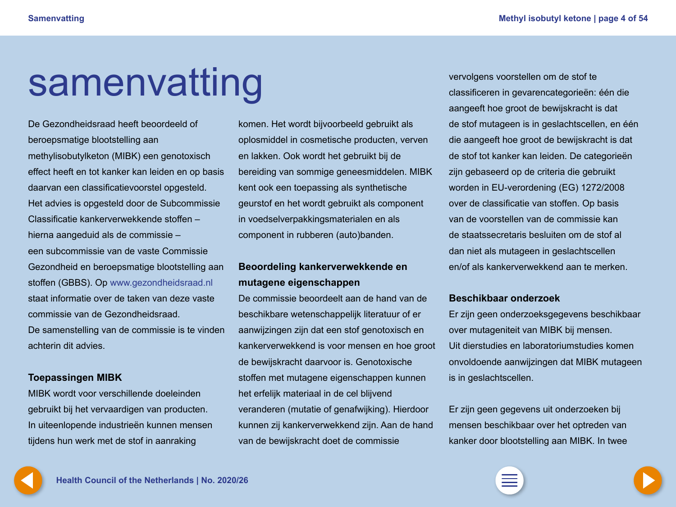# <span id="page-3-0"></span>samenvatting

De Gezondheidsraad heeft beoordeeld of beroepsmatige blootstelling aan methylisobutylketon (MIBK) een genotoxisch effect heeft en tot kanker kan leiden en op basis daarvan een classificatievoorstel opgesteld. Het advies is opgesteld door de Subcommissie Classificatie kankerverwekkende stoffen – hierna aangeduid als de commissie – een subcommissie van de vaste Commissie Gezondheid en beroepsmatige blootstelling aan stoffen (GBBS). Op www.gezondheidsraad.nl staat informatie over de taken van deze vaste commissie van de Gezondheidsraad. De samenstelling van de commissie is te vinden achterin dit advies.

### **Toepassingen MIBK**

MIBK wordt voor verschillende doeleinden gebruikt bij het vervaardigen van producten. In uiteenlopende industrieën kunnen mensen tijdens hun werk met de stof in aanraking

komen. Het wordt bijvoorbeeld gebruikt als oplosmiddel in cosmetische producten, verven en lakken. Ook wordt het gebruikt bij de bereiding van sommige geneesmiddelen. MIBK kent ook een toepassing als synthetische geurstof en het wordt gebruikt als component in voedselverpakkingsmaterialen en als component in rubberen (auto)banden.

### **Beoordeling kankerverwekkende en mutagene eigenschappen**

De commissie beoordeelt aan de hand van de beschikbare wetenschappelijk literatuur of er aanwijzingen zijn dat een stof genotoxisch en kankerverwekkend is voor mensen en hoe groot de bewijskracht daarvoor is. Genotoxische stoffen met mutagene eigenschappen kunnen het erfelijk materiaal in de cel blijvend veranderen (mutatie of genafwijking). Hierdoor kunnen zij kankerverwekkend zijn. Aan de hand van de bewijskracht doet de commissie

vervolgens voorstellen om de stof te classificeren in gevarencategorieën: één die aangeeft hoe groot de bewijskracht is dat de stof mutageen is in geslachtscellen, en één die aangeeft hoe groot de bewijskracht is dat de stof tot kanker kan leiden. De categorieën zijn gebaseerd op de criteria die gebruikt worden in EU-verordening (EG) 1272/2008 over de classificatie van stoffen. Op basis van de voorstellen van de commissie kan de staatssecretaris besluiten om de stof al dan niet als mutageen in geslachtscellen en/of als kankerverwekkend aan te merken.

### **Beschikbaar onderzoek**

Er zijn geen onderzoeksgegevens beschikbaar over mutageniteit van MIBK bij mensen. Uit dierstudies en laboratoriumstudies komen onvoldoende aanwijzingen dat MIBK mutageen is in geslachtscellen.

Er zijn geen gegevens uit onderzoeken bij mensen beschikbaar over het optreden van kanker door blootstelling aan MIBK. In twee

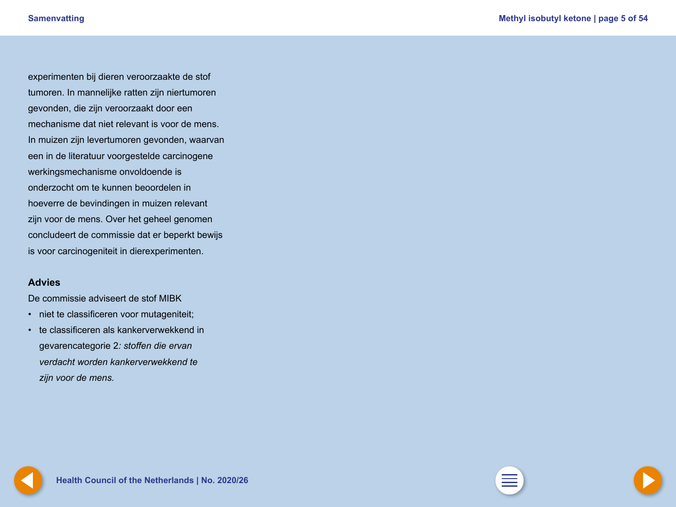<span id="page-4-0"></span>experimenten bij dieren veroorzaakte de stof tumoren. In mannelijke ratten zijn niertumoren gevonden, die zijn veroorzaakt door een mechanisme dat niet relevant is voor de mens. In muizen zijn levertumoren gevonden, waarvan een in de literatuur voorgestelde carcinogene werkingsmechanisme onvoldoende is onderzocht om te kunnen beoordelen in hoeverre de bevindingen in muizen relevant zijn voor de mens. Over het geheel genomen concludeert de commissie dat er beperkt bewijs is voor carcinogeniteit in dierexperimenten.

### **Advies**

De commissie adviseert de stof MIBK

- niet te classificeren voor mutageniteit;
- te classificeren als kankerverwekkend in gevarencategorie 2*: stoffen die ervan verdacht worden kankerverwekkend te zijn voor de mens.*

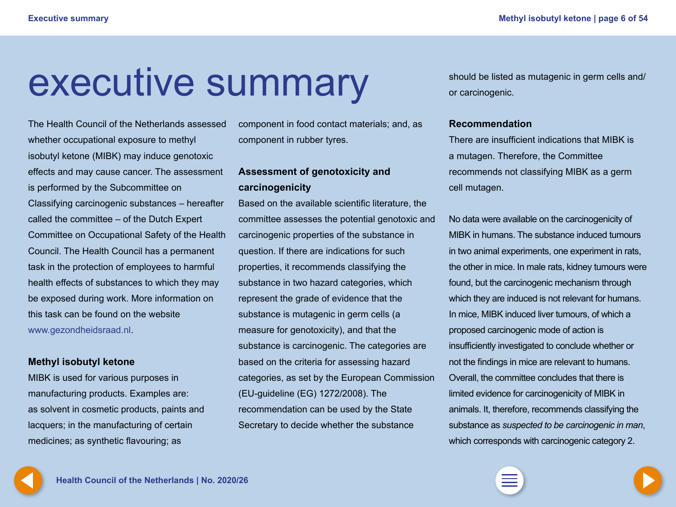# <span id="page-5-0"></span>executive summary

The Health Council of the Netherlands assessed whether occupational exposure to methyl isobutyl ketone (MIBK) may induce genotoxic effects and may cause cancer. The assessment is performed by the Subcommittee on Classifying carcinogenic substances – hereafter called the committee – of the Dutch Expert Committee on Occupational Safety of the Health Council. The Health Council has a permanent task in the protection of employees to harmful health effects of substances to which they may be exposed during work. More information on this task can be found on the website www.gezondheidsraad.nl.

### **Methyl isobutyl ketone**

MIBK is used for various purposes in manufacturing products. Examples are: as solvent in cosmetic products, paints and lacquers; in the manufacturing of certain medicines; as synthetic flavouring; as

component in food contact materials; and, as component in rubber tyres.

### **Assessment of genotoxicity and carcinogenicity**

Based on the available scientific literature, the committee assesses the potential genotoxic and carcinogenic properties of the substance in question. If there are indications for such properties, it recommends classifying the substance in two hazard categories, which represent the grade of evidence that the substance is mutagenic in germ cells (a measure for genotoxicity), and that the substance is carcinogenic. The categories are based on the criteria for assessing hazard categories, as set by the European Commission (EU-guideline (EG) 1272/2008). The recommendation can be used by the State Secretary to decide whether the substance

should be listed as mutagenic in germ cells and/ or carcinogenic.

### **Recommendation**

There are insufficient indications that MIBK is a mutagen. Therefore, the Committee recommends not classifying MIBK as a germ cell mutagen.

No data were available on the carcinogenicity of MIBK in humans. The substance induced tumours in two animal experiments, one experiment in rats, the other in mice. In male rats, kidney tumours were found, but the carcinogenic mechanism through which they are induced is not relevant for humans. In mice, MIBK induced liver tumours, of which a proposed carcinogenic mode of action is insufficiently investigated to conclude whether or not the findings in mice are relevant to humans. Overall, the committee concludes that there is limited evidence for carcinogenicity of MIBK in animals. It, therefore, recommends classifying the substance as *suspected to be carcinogenic in man*, which corresponds with carcinogenic category 2.

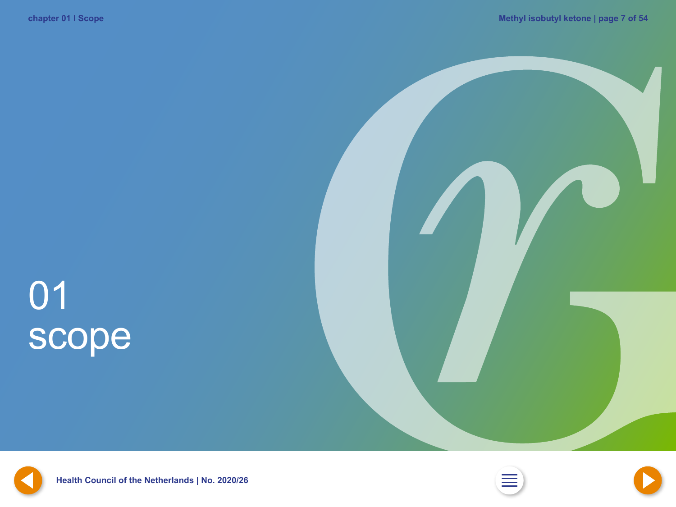# <span id="page-6-0"></span>01 scope







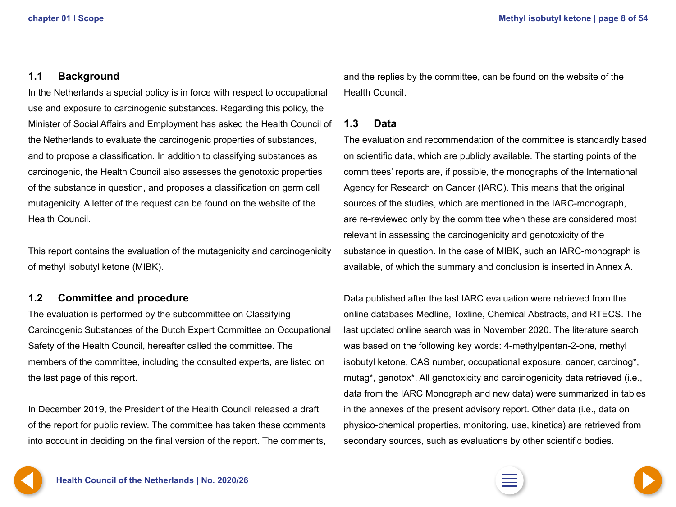### <span id="page-7-0"></span>**1.1 Background**

In the Netherlands a special policy is in force with respect to occupational use and exposure to carcinogenic substances. Regarding this policy, the Minister of Social Affairs and Employment has asked the Health Council of the Netherlands to evaluate the carcinogenic properties of substances, and to propose a classification. In addition to classifying substances as carcinogenic, the Health Council also assesses the genotoxic properties of the substance in question, and proposes a classification on germ cell mutagenicity. A letter of the request can be found on the website of the Health Council.

This report contains the evaluation of the mutagenicity and carcinogenicity of methyl isobutyl ketone (MIBK).

### **1.2 Committee and procedure**

The evaluation is performed by the subcommittee on Classifying Carcinogenic Substances of the Dutch Expert Committee on Occupational Safety of the Health Council, hereafter called the committee. The members of the committee, including the consulted experts, are listed on the last page of this report.

In December 2019, the President of the Health Council released a draft of the report for public review. The committee has taken these comments into account in deciding on the final version of the report. The comments, and the replies by the committee, can be found on the website of the Health Council.

### **1.3 Data**

The evaluation and recommendation of the committee is standardly based on scientific data, which are publicly available. The starting points of the committees' reports are, if possible, the monographs of the International Agency for Research on Cancer (IARC). This means that the original sources of the studies, which are mentioned in the IARC-monograph, are re-reviewed only by the committee when these are considered most relevant in assessing the carcinogenicity and genotoxicity of the substance in question. In the case of MIBK, such an IARC-monograph is available, of which the summary and conclusion is inserted in Annex A.

Data published after the last IARC evaluation were retrieved from the online databases Medline, Toxline, Chemical Abstracts, and RTECS. The last updated online search was in November 2020. The literature search was based on the following key words: 4-methylpentan-2-one, methyl isobutyl ketone, CAS number, occupational exposure, cancer, carcinog\*, mutag\*, genotox\*. All genotoxicity and carcinogenicity data retrieved (i.e., data from the IARC Monograph and new data) were summarized in tables in the annexes of the present advisory report. Other data (i.e., data on physico-chemical properties, monitoring, use, kinetics) are retrieved from secondary sources, such as evaluations by other scientific bodies.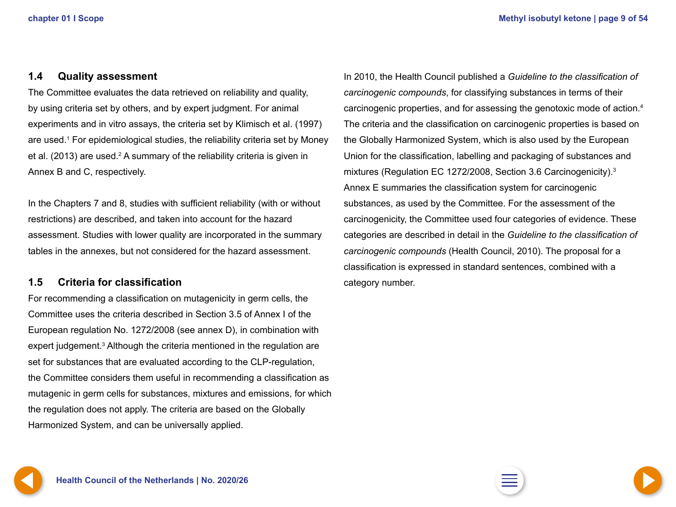### <span id="page-8-0"></span>**1.4 Quality assessment**

The Committee evaluates the data retrieved on reliability and quality, by using criteria set by others, and by expert judgment. For animal experiments and in vitro assays, the criteria set by Klimisch et al. (1997) are used.<sup>1</sup> For epidemiological studies, the reliability criteria set by Money et al. (2013) are used.<sup>2</sup> A summary of the reliability criteria is given in Annex B and C, respectively.

In the Chapters 7 and 8, studies with sufficient reliability (with or without restrictions) are described, and taken into account for the hazard assessment. Studies with lower quality are incorporated in the summary tables in the annexes, but not considered for the hazard assessment.

### **1.5 Criteria for classification**

For recommending a classification on mutagenicity in germ cells, the Committee uses the criteria described in Section 3.5 of Annex I of the European regulation No. 1272/2008 (see annex D), in combination with expert judgement.<sup>3</sup> Although the criteria mentioned in the regulation are set for substances that are evaluated according to the CLP-regulation, the Committee considers them useful in recommending a classification as mutagenic in germ cells for substances, mixtures and emissions, for which the regulation does not apply. The criteria are based on the Globally Harmonized System, and can be universally applied.

In 2010, the Health Council published a *Guideline to the classification of carcinogenic compounds*, for classifying substances in terms of their carcinogenic properties, and for assessing the genotoxic mode of action.4 The criteria and the classification on carcinogenic properties is based on the Globally Harmonized System, which is also used by the European Union for the classification, labelling and packaging of substances and mixtures (Regulation EC 1272/2008, Section 3.6 Carcinogenicity).3 Annex E summaries the classification system for carcinogenic substances, as used by the Committee. For the assessment of the carcinogenicity, the Committee used four categories of evidence. These categories are described in detail in the *Guideline to the classification of carcinogenic compounds* (Health Council, 2010). The proposal for a classification is expressed in standard sentences, combined with a category number.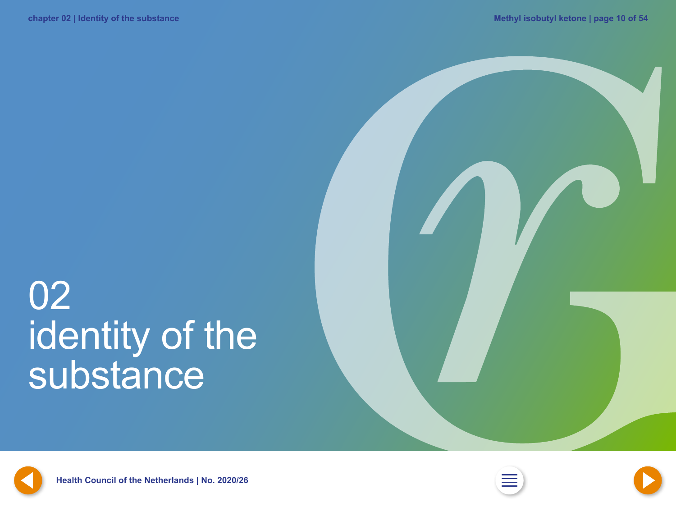# <span id="page-9-0"></span>02 identity of the substance







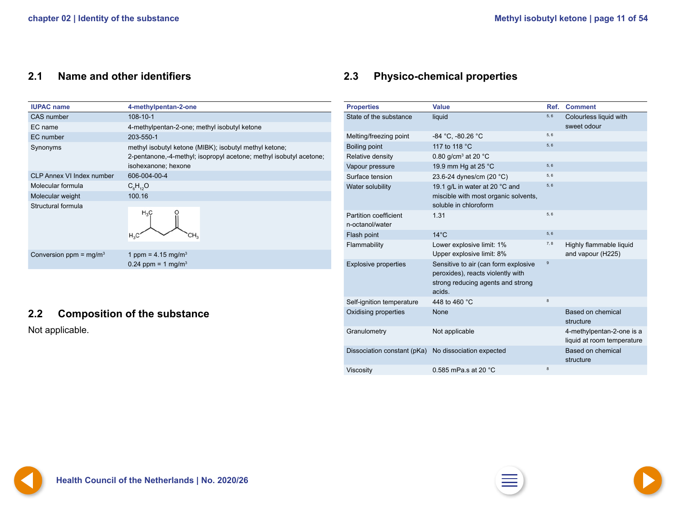### <span id="page-10-0"></span>**2.1 Name and other identifiers**

| <b>IUPAC name</b>                | 4-methylpentan-2-one                                                                                                                                |  |  |
|----------------------------------|-----------------------------------------------------------------------------------------------------------------------------------------------------|--|--|
| CAS number                       | 108-10-1                                                                                                                                            |  |  |
| EC name                          | 4-methylpentan-2-one; methyl isobutyl ketone                                                                                                        |  |  |
| EC number                        | 203-550-1                                                                                                                                           |  |  |
| Synonyms                         | methyl isobutyl ketone (MIBK); isobutyl methyl ketone;<br>2-pentanone,-4-methyl; isopropyl acetone; methyl isobutyl acetone;<br>isohexanone; hexone |  |  |
| <b>CLP Annex VI Index number</b> | 606-004-00-4                                                                                                                                        |  |  |
| Molecular formula                | $C_6H_{12}O$                                                                                                                                        |  |  |
| Molecular weight                 | 100.16                                                                                                                                              |  |  |
| Structural formula               | $H_3C$<br>$H_3C$                                                                                                                                    |  |  |
| Conversion ppm = $mg/m3$         | 1 ppm = $4.15$ mg/m <sup>3</sup><br>0.24 ppm = 1 mg/m <sup>3</sup>                                                                                  |  |  |
|                                  |                                                                                                                                                     |  |  |

### **2.2 Composition of the substance**

Not applicable.

## **2.3 Physico-chemical properties**

| <b>Properties</b>                               | <b>Value</b>                                                                                                             | Ref. | <b>Comment</b>                                          |
|-------------------------------------------------|--------------------------------------------------------------------------------------------------------------------------|------|---------------------------------------------------------|
| State of the substance                          | liquid                                                                                                                   | 5, 6 | Colourless liquid with<br>sweet odour                   |
| Melting/freezing point                          | -84 °C, -80.26 °C                                                                                                        | 5, 6 |                                                         |
| Boiling point                                   | 117 to 118 °C                                                                                                            | 5, 6 |                                                         |
| Relative density                                | 0.80 g/cm <sup>3</sup> at 20 °C                                                                                          |      |                                                         |
| Vapour pressure                                 | 19.9 mm Hg at 25 °C                                                                                                      | 5, 6 |                                                         |
| Surface tension                                 | 23.6-24 dynes/cm (20 °C)                                                                                                 | 5, 6 |                                                         |
| Water solubility                                | 19.1 g/L in water at 20 °C and<br>miscible with most organic solvents,<br>soluble in chloroform                          | 5, 6 |                                                         |
| <b>Partition coefficient</b><br>n-octanol/water | 1.31                                                                                                                     | 5, 6 |                                                         |
| Flash point                                     | $14^{\circ}$ C                                                                                                           | 5, 6 |                                                         |
| Flammability                                    | Lower explosive limit: 1%<br>Upper explosive limit: 8%                                                                   | 7, 8 | Highly flammable liquid<br>and vapour (H225)            |
| <b>Explosive properties</b>                     | Sensitive to air (can form explosive<br>peroxides), reacts violently with<br>strong reducing agents and strong<br>acids. | 9    |                                                         |
| Self-ignition temperature                       | 448 to 460 °C                                                                                                            | 8    |                                                         |
| Oxidising properties                            | None                                                                                                                     |      | Based on chemical<br>structure                          |
| Granulometry                                    | Not applicable                                                                                                           |      | 4-methylpentan-2-one is a<br>liquid at room temperature |
| Dissociation constant (pKa)                     | No dissociation expected                                                                                                 |      | <b>Based on chemical</b><br>structure                   |
| Viscosity                                       | 0.585 mPa.s at 20 °C                                                                                                     | 8    |                                                         |



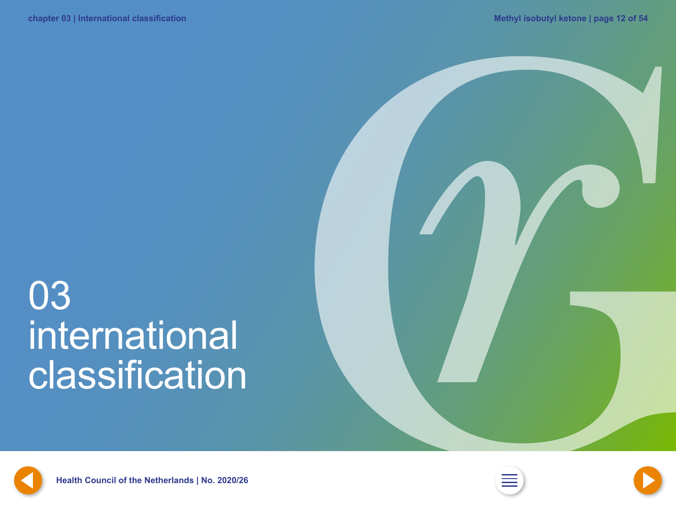# <span id="page-11-0"></span>03 international **classification**









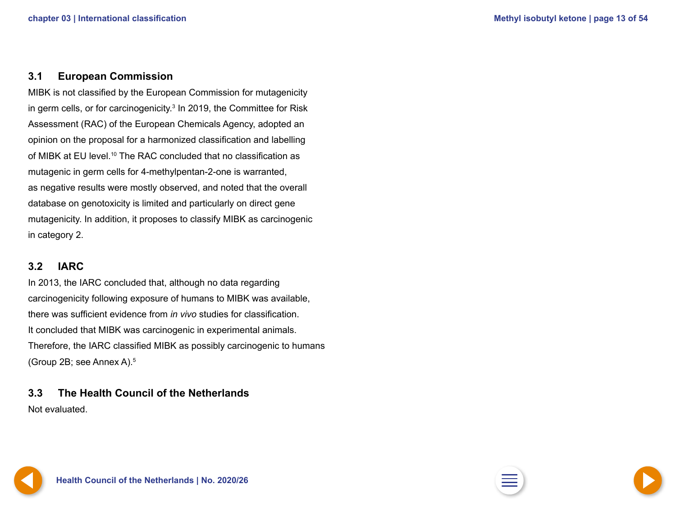### <span id="page-12-0"></span>**3.1 European Commission**

MIBK is not classified by the European Commission for mutagenicity in germ cells, or for carcinogenicity.<sup>3</sup> In 2019, the Committee for Risk Assessment (RAC) of the European Chemicals Agency, adopted an opinion on the proposal for a harmonized classification and labelling of MIBK at EU level.<sup>10</sup> The RAC concluded that no classification as mutagenic in germ cells for 4-methylpentan-2-one is warranted, as negative results were mostly observed, and noted that the overall database on genotoxicity is limited and particularly on direct gene mutagenicity. In addition, it proposes to classify MIBK as carcinogenic in category 2.

### **3.2 IARC**

In 2013, the IARC concluded that, although no data regarding carcinogenicity following exposure of humans to MIBK was available, there was sufficient evidence from *in vivo* studies for classification. It concluded that MIBK was carcinogenic in experimental animals. Therefore, the IARC classified MIBK as possibly carcinogenic to humans (Group 2B; see Annex A).<sup>5</sup>

**3.3 The Health Council of the Netherlands** Not evaluated.

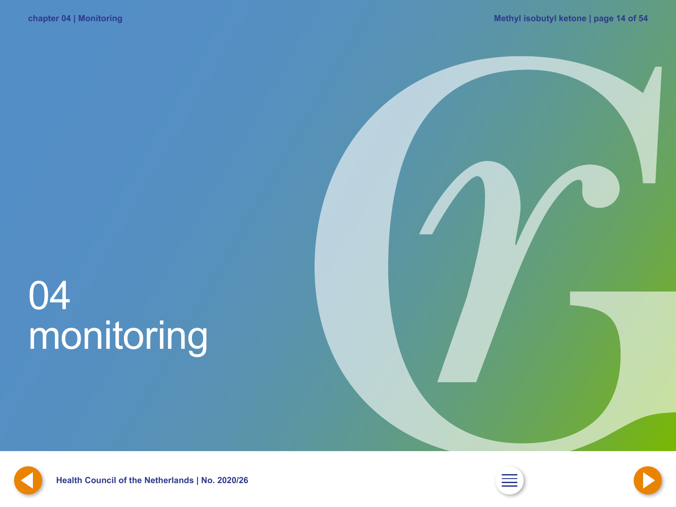# <span id="page-13-0"></span>04 monitoring









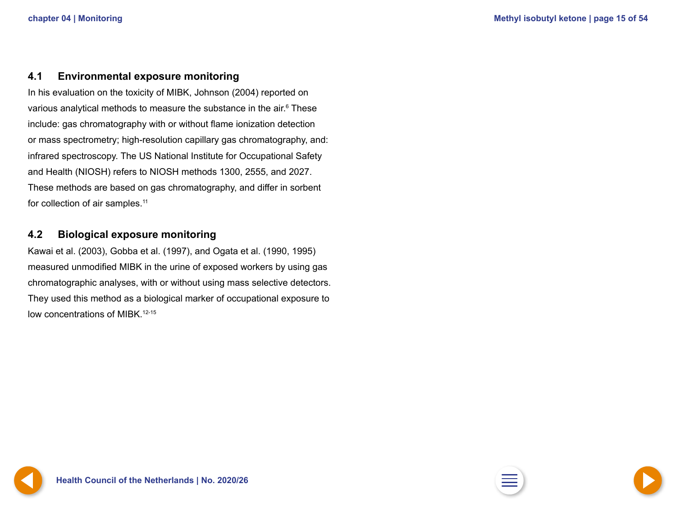### <span id="page-14-0"></span>**4.1 Environmental exposure monitoring**

In his evaluation on the toxicity of MIBK, Johnson (2004) reported on various analytical methods to measure the substance in the air.<sup>6</sup> These include: gas chromatography with or without flame ionization detection or mass spectrometry; high-resolution capillary gas chromatography, and: infrared spectroscopy. The US National Institute for Occupational Safety and Health (NIOSH) refers to NIOSH methods 1300, 2555, and 2027. These methods are based on gas chromatography, and differ in sorbent for collection of air samples.<sup>11</sup>

### **4.2 Biological exposure monitoring**

Kawai et al. (2003), Gobba et al. (1997), and Ogata et al. (1990, 1995) measured unmodified MIBK in the urine of exposed workers by using gas chromatographic analyses, with or without using mass selective detectors. They used this method as a biological marker of occupational exposure to low concentrations of MIBK.<sup>12-15</sup>



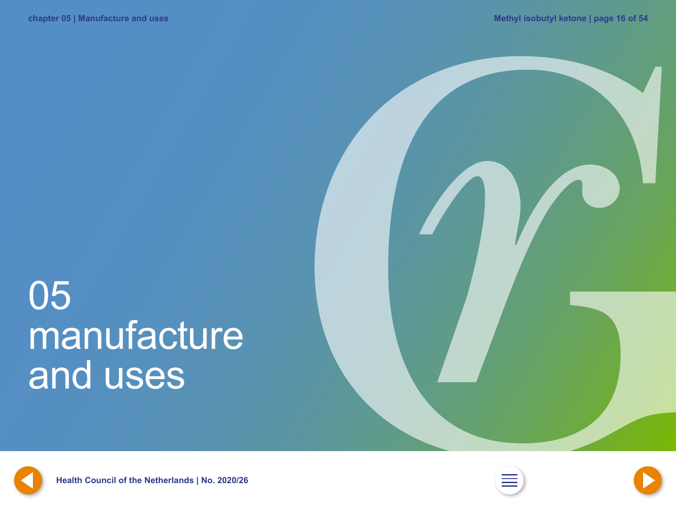# <span id="page-15-0"></span>05 manufacture and uses







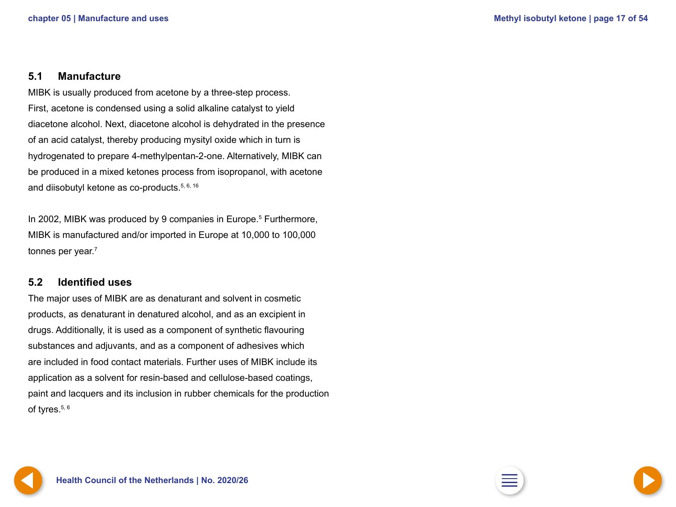### <span id="page-16-0"></span>**5.1 Manufacture**

MIBK is usually produced from acetone by a three-step process. First, acetone is condensed using a solid alkaline catalyst to yield diacetone alcohol. Next, diacetone alcohol is dehydrated in the presence of an acid catalyst, thereby producing mysityl oxide which in turn is hydrogenated to prepare 4-methylpentan-2-one. Alternatively, MIBK can be produced in a mixed ketones process from isopropanol, with acetone and diisobutyl ketone as co-products.<sup>5, 6, 16</sup>

In 2002, MIBK was produced by 9 companies in Europe.<sup>5</sup> Furthermore, MIBK is manufactured and/or imported in Europe at 10,000 to 100,000 tonnes per year.<sup>7</sup>

### **5.2 Identified uses**

The major uses of MIBK are as denaturant and solvent in cosmetic products, as denaturant in denatured alcohol, and as an excipient in drugs. Additionally, it is used as a component of synthetic flavouring substances and adjuvants, and as a component of adhesives which are included in food contact materials. Further uses of MIBK include its application as a solvent for resin-based and cellulose-based coatings, paint and lacquers and its inclusion in rubber chemicals for the production of tyres.<sup>5, 6</sup>

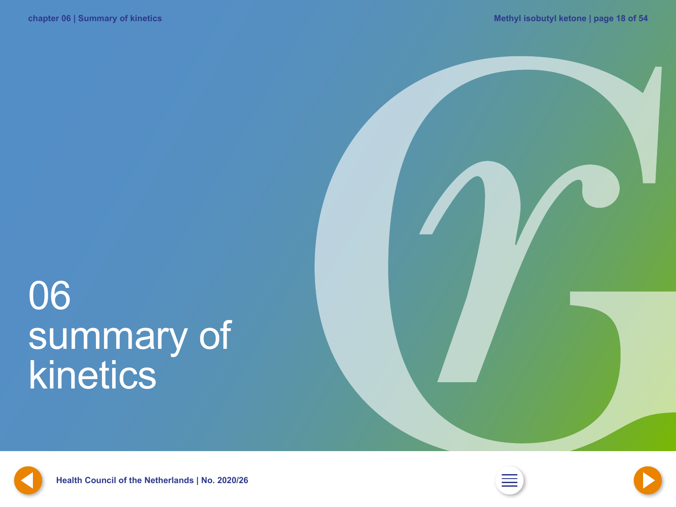# <span id="page-17-0"></span>06 summary of kinetics







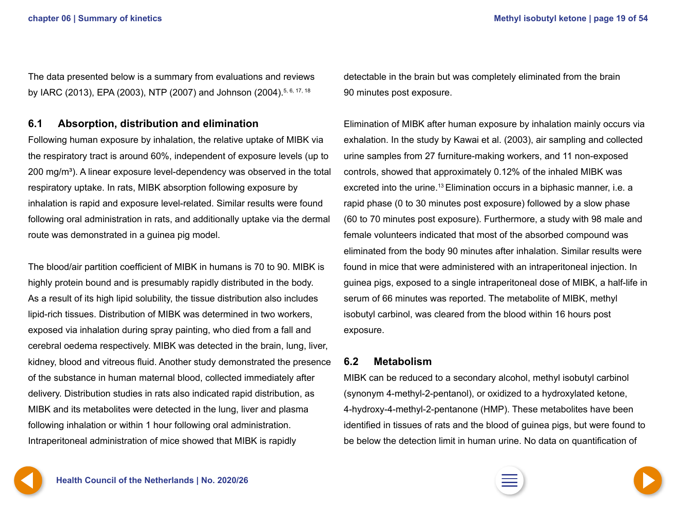<span id="page-18-0"></span>The data presented below is a summary from evaluations and reviews by IARC (2013), EPA (2003), NTP (2007) and Johnson (2004).<sup>5, 6, 17, 18</sup>

### **6.1 Absorption, distribution and elimination**

Following human exposure by inhalation, the relative uptake of MIBK via the respiratory tract is around 60%, independent of exposure levels (up to  $200 \,\mathrm{mg/m^3}$ ). A linear exposure level-dependency was observed in the total respiratory uptake. In rats, MIBK absorption following exposure by inhalation is rapid and exposure level-related. Similar results were found following oral administration in rats, and additionally uptake via the dermal route was demonstrated in a guinea pig model.

The blood/air partition coefficient of MIBK in humans is 70 to 90. MIBK is highly protein bound and is presumably rapidly distributed in the body. As a result of its high lipid solubility, the tissue distribution also includes lipid-rich tissues. Distribution of MIBK was determined in two workers, exposed via inhalation during spray painting, who died from a fall and cerebral oedema respectively. MIBK was detected in the brain, lung, liver, kidney, blood and vitreous fluid. Another study demonstrated the presence of the substance in human maternal blood, collected immediately after delivery. Distribution studies in rats also indicated rapid distribution, as MIBK and its metabolites were detected in the lung, liver and plasma following inhalation or within 1 hour following oral administration. Intraperitoneal administration of mice showed that MIBK is rapidly

detectable in the brain but was completely eliminated from the brain 90 minutes post exposure.

Elimination of MIBK after human exposure by inhalation mainly occurs via exhalation. In the study by Kawai et al. (2003), air sampling and collected urine samples from 27 furniture-making workers, and 11 non-exposed controls, showed that approximately 0.12% of the inhaled MIBK was excreted into the urine.<sup>13</sup> Elimination occurs in a biphasic manner, i.e. a rapid phase (0 to 30 minutes post exposure) followed by a slow phase (60 to 70 minutes post exposure). Furthermore, a study with 98 male and female volunteers indicated that most of the absorbed compound was eliminated from the body 90 minutes after inhalation. Similar results were found in mice that were administered with an intraperitoneal injection. In guinea pigs, exposed to a single intraperitoneal dose of MIBK, a half-life in serum of 66 minutes was reported. The metabolite of MIBK, methyl isobutyl carbinol, was cleared from the blood within 16 hours post exposure.

### **6.2 Metabolism**

MIBK can be reduced to a secondary alcohol, methyl isobutyl carbinol (synonym 4-methyl-2-pentanol), or oxidized to a hydroxylated ketone, 4-hydroxy-4-methyl-2-pentanone (HMP). These metabolites have been identified in tissues of rats and the blood of guinea pigs, but were found to be below the detection limit in human urine. No data on quantification of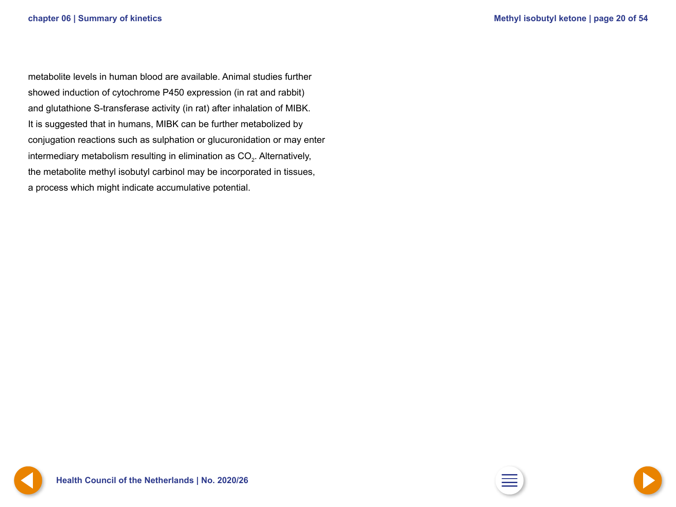<span id="page-19-0"></span>metabolite levels in human blood are available. Animal studies further showed induction of cytochrome P450 expression (in rat and rabbit) and glutathione S-transferase activity (in rat) after inhalation of MIBK. It is suggested that in humans, MIBK can be further metabolized by conjugation reactions such as sulphation or glucuronidation or may enter intermediary metabolism resulting in elimination as CO<sub>2</sub>. Alternatively, the metabolite methyl isobutyl carbinol may be incorporated in tissues, a process which might indicate accumulative potential.



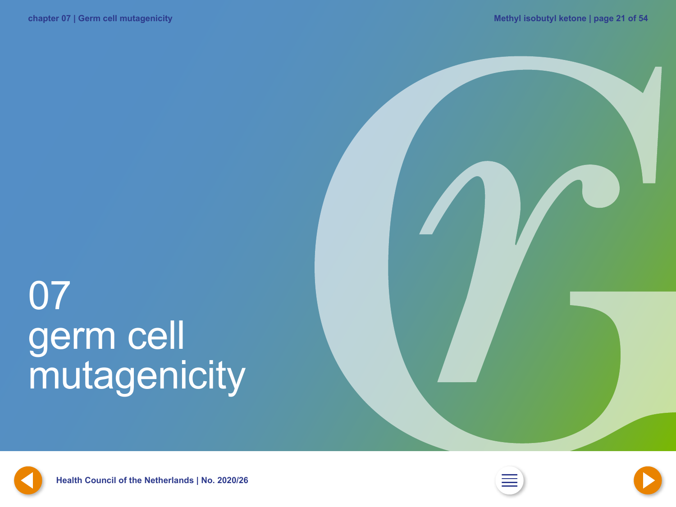# <span id="page-20-0"></span>07 germ cell mutagenicity







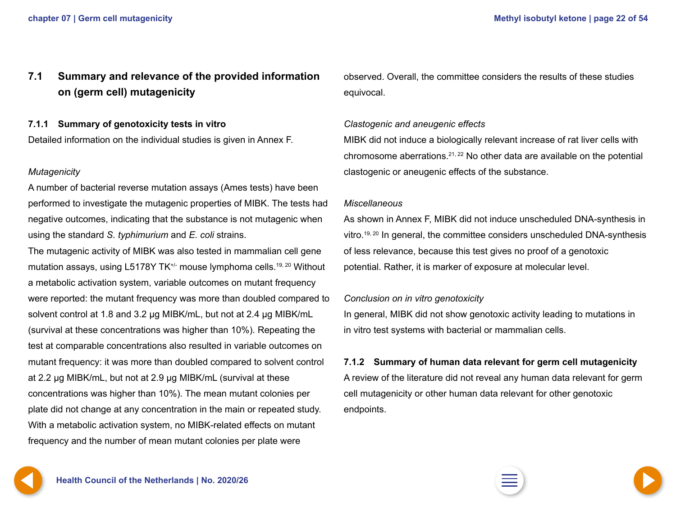### <span id="page-21-0"></span>**7.1 Summary and relevance of the provided information on (germ cell) mutagenicity**

### **7.1.1 Summary of genotoxicity tests in vitro**

Detailed information on the individual studies is given in Annex F.

### *Mutagenicity*

A number of bacterial reverse mutation assays (Ames tests) have been performed to investigate the mutagenic properties of MIBK. The tests had negative outcomes, indicating that the substance is not mutagenic when using the standard *S. typhimurium* and *E. coli* strains.

The mutagenic activity of MIBK was also tested in mammalian cell gene mutation assays, using L5178Y TK<sup>+/-</sup> mouse lymphoma cells.<sup>19, 20</sup> Without a metabolic activation system, variable outcomes on mutant frequency were reported: the mutant frequency was more than doubled compared to solvent control at 1.8 and 3.2 µg MIBK/mL, but not at 2.4 µg MIBK/mL (survival at these concentrations was higher than 10%). Repeating the test at comparable concentrations also resulted in variable outcomes on mutant frequency: it was more than doubled compared to solvent control at 2.2 µg MIBK/mL, but not at 2.9 µg MIBK/mL (survival at these concentrations was higher than 10%). The mean mutant colonies per plate did not change at any concentration in the main or repeated study. With a metabolic activation system, no MIBK-related effects on mutant frequency and the number of mean mutant colonies per plate were

observed. Overall, the committee considers the results of these studies equivocal.

### *Clastogenic and aneugenic effects*

MIBK did not induce a biologically relevant increase of rat liver cells with chromosome aberrations.21, 22 No other data are available on the potential clastogenic or aneugenic effects of the substance.

#### *Miscellaneous*

As shown in Annex F, MIBK did not induce unscheduled DNA-synthesis in vitro.<sup>19, 20</sup> In general, the committee considers unscheduled DNA-synthesis of less relevance, because this test gives no proof of a genotoxic potential. Rather, it is marker of exposure at molecular level.

### *Conclusion on in vitro genotoxicity*

In general, MIBK did not show genotoxic activity leading to mutations in in vitro test systems with bacterial or mammalian cells.

### **7.1.2 Summary of human data relevant for germ cell mutagenicity**

A review of the literature did not reveal any human data relevant for germ cell mutagenicity or other human data relevant for other genotoxic endpoints.

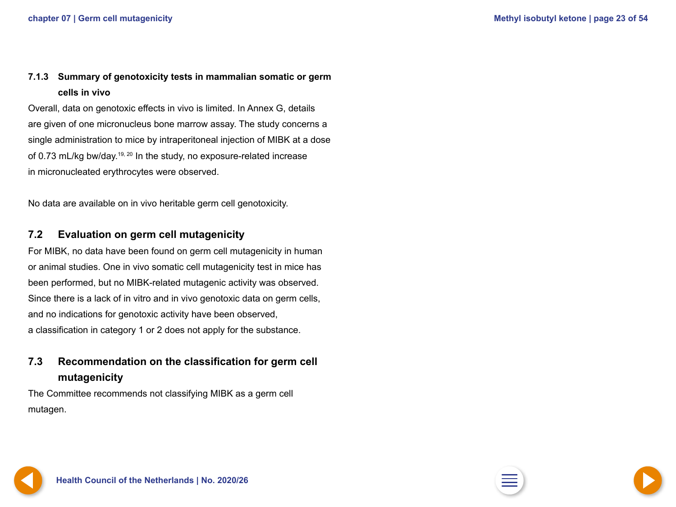### <span id="page-22-0"></span>**7.1.3 Summary of genotoxicity tests in mammalian somatic or germ cells in vivo**

Overall, data on genotoxic effects in vivo is limited. In Annex G, details are given of one micronucleus bone marrow assay. The study concerns a single administration to mice by intraperitoneal injection of MIBK at a dose of 0.73 mL/kg bw/day.<sup>19, 20</sup> In the study, no exposure-related increase in micronucleated erythrocytes were observed.

No data are available on in vivo heritable germ cell genotoxicity.

### **7.2 Evaluation on germ cell mutagenicity**

For MIBK, no data have been found on germ cell mutagenicity in human or animal studies. One in vivo somatic cell mutagenicity test in mice has been performed, but no MIBK-related mutagenic activity was observed. Since there is a lack of in vitro and in vivo genotoxic data on germ cells, and no indications for genotoxic activity have been observed, a classification in category 1 or 2 does not apply for the substance.

### **7.3 Recommendation on the classification for germ cell mutagenicity**

The Committee recommends not classifying MIBK as a germ cell mutagen.



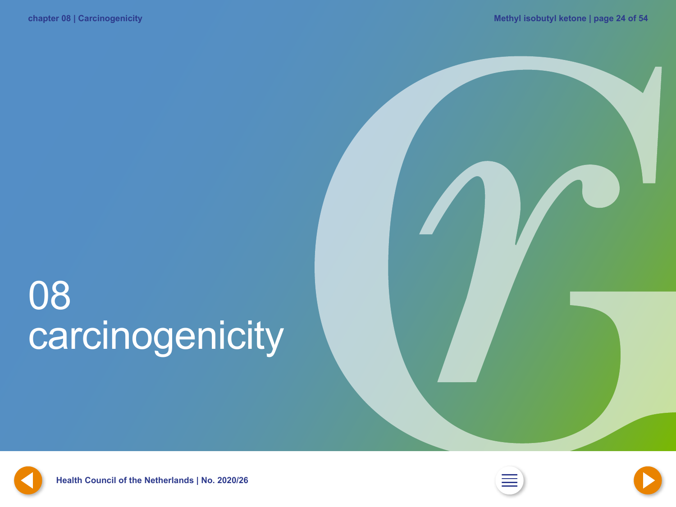# <span id="page-23-0"></span>08 carcinogenicity



**[23](#page-22-0) Health Council of the Netherlands | No. 2020/26 [2](#page-1-0) [25](#page-24-0)**



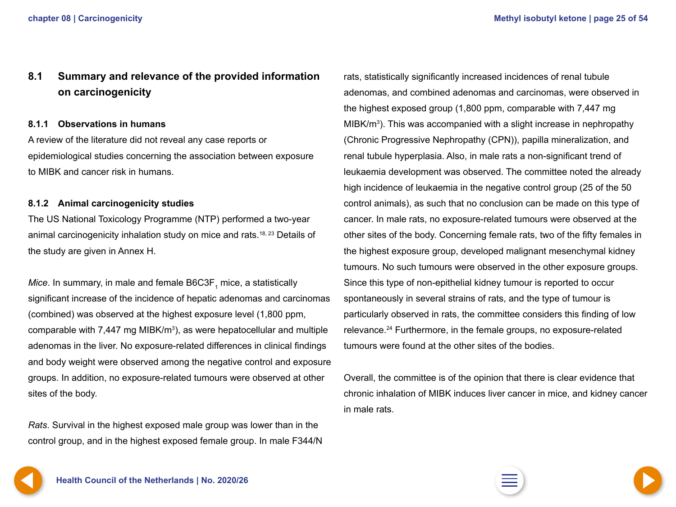### <span id="page-24-0"></span>**8.1 Summary and relevance of the provided information on carcinogenicity**

### **8.1.1 Observations in humans**

A review of the literature did not reveal any case reports or epidemiological studies concerning the association between exposure to MIBK and cancer risk in humans.

### **8.1.2 Animal carcinogenicity studies**

The US National Toxicology Programme (NTP) performed a two-year animal carcinogenicity inhalation study on mice and rats.<sup>18, 23</sup> Details of the study are given in Annex H.

 $\mathit{Mice}.$  In summary, in male and female  $\mathsf{B6C3F}_1$  mice, a statistically significant increase of the incidence of hepatic adenomas and carcinomas (combined) was observed at the highest exposure level (1,800 ppm, comparable with 7,447 mg MIBK/m<sup>3</sup>), as were hepatocellular and multiple adenomas in the liver. No exposure-related differences in clinical findings and body weight were observed among the negative control and exposure groups. In addition, no exposure-related tumours were observed at other sites of the body.

*Rats*. Survival in the highest exposed male group was lower than in the control group, and in the highest exposed female group. In male F344/N

rats, statistically significantly increased incidences of renal tubule adenomas, and combined adenomas and carcinomas, were observed in the highest exposed group (1,800 ppm, comparable with 7,447 mg MIBK/m<sup>3</sup>). This was accompanied with a slight increase in nephropathy (Chronic Progressive Nephropathy (CPN)), papilla mineralization, and renal tubule hyperplasia. Also, in male rats a non-significant trend of leukaemia development was observed. The committee noted the already high incidence of leukaemia in the negative control group (25 of the 50 control animals), as such that no conclusion can be made on this type of cancer. In male rats, no exposure-related tumours were observed at the other sites of the body. Concerning female rats, two of the fifty females in the highest exposure group, developed malignant mesenchymal kidney tumours. No such tumours were observed in the other exposure groups. Since this type of non-epithelial kidney tumour is reported to occur spontaneously in several strains of rats, and the type of tumour is particularly observed in rats, the committee considers this finding of low relevance.24 Furthermore, in the female groups, no exposure-related tumours were found at the other sites of the bodies.

Overall, the committee is of the opinion that there is clear evidence that chronic inhalation of MIBK induces liver cancer in mice, and kidney cancer in male rats.

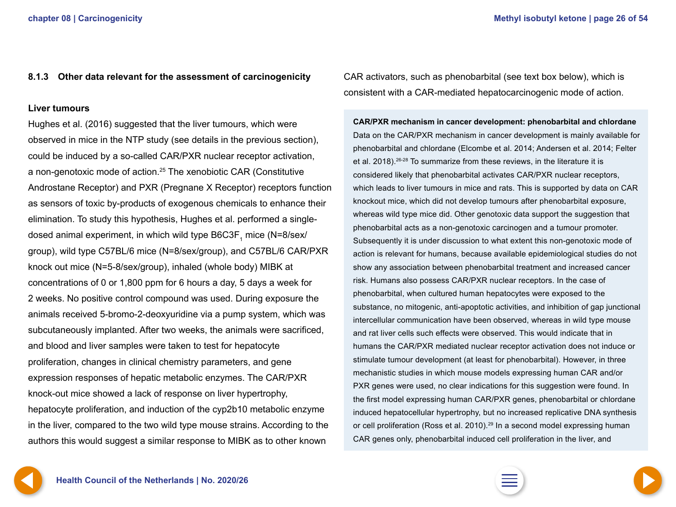### <span id="page-25-0"></span>**8.1.3 Other data relevant for the assessment of carcinogenicity**

#### **Liver tumours**

Hughes et al. (2016) suggested that the liver tumours, which were observed in mice in the NTP study (see details in the previous section), could be induced by a so-called CAR/PXR nuclear receptor activation, a non-genotoxic mode of action.25 The xenobiotic CAR (Constitutive Androstane Receptor) and PXR (Pregnane X Receptor) receptors function as sensors of toxic by-products of exogenous chemicals to enhance their elimination. To study this hypothesis, Hughes et al. performed a singledosed animal experiment, in which wild type B6C3F $_{\textrm{\tiny{1}}}$  mice (N=8/sex/ group), wild type C57BL/6 mice (N=8/sex/group), and C57BL/6 CAR/PXR knock out mice (N=5-8/sex/group), inhaled (whole body) MIBK at concentrations of 0 or 1,800 ppm for 6 hours a day, 5 days a week for 2 weeks. No positive control compound was used. During exposure the animals received 5-bromo-2-deoxyuridine via a pump system, which was subcutaneously implanted. After two weeks, the animals were sacrificed, and blood and liver samples were taken to test for hepatocyte proliferation, changes in clinical chemistry parameters, and gene expression responses of hepatic metabolic enzymes. The CAR/PXR knock-out mice showed a lack of response on liver hypertrophy, hepatocyte proliferation, and induction of the cyp2b10 metabolic enzyme in the liver, compared to the two wild type mouse strains. According to the authors this would suggest a similar response to MIBK as to other known

CAR activators, such as phenobarbital (see text box below), which is consistent with a CAR-mediated hepatocarcinogenic mode of action.

**CAR/PXR mechanism in cancer development: phenobarbital and chlordane** Data on the CAR/PXR mechanism in cancer development is mainly available for phenobarbital and chlordane (Elcombe et al. 2014; Andersen et al. 2014; Felter et al. 2018).26-28 To summarize from these reviews, in the literature it is considered likely that phenobarbital activates CAR/PXR nuclear receptors, which leads to liver tumours in mice and rats. This is supported by data on CAR knockout mice, which did not develop tumours after phenobarbital exposure, whereas wild type mice did. Other genotoxic data support the suggestion that phenobarbital acts as a non-genotoxic carcinogen and a tumour promoter. Subsequently it is under discussion to what extent this non-genotoxic mode of action is relevant for humans, because available epidemiological studies do not show any association between phenobarbital treatment and increased cancer risk. Humans also possess CAR/PXR nuclear receptors. In the case of phenobarbital, when cultured human hepatocytes were exposed to the substance, no mitogenic, anti-apoptotic activities, and inhibition of gap junctional intercellular communication have been observed, whereas in wild type mouse and rat liver cells such effects were observed. This would indicate that in humans the CAR/PXR mediated nuclear receptor activation does not induce or stimulate tumour development (at least for phenobarbital). However, in three mechanistic studies in which mouse models expressing human CAR and/or PXR genes were used, no clear indications for this suggestion were found. In the first model expressing human CAR/PXR genes, phenobarbital or chlordane induced hepatocellular hypertrophy, but no increased replicative DNA synthesis or cell proliferation (Ross et al. 2010).<sup>29</sup> In a second model expressing human CAR genes only, phenobarbital induced cell proliferation in the liver, and



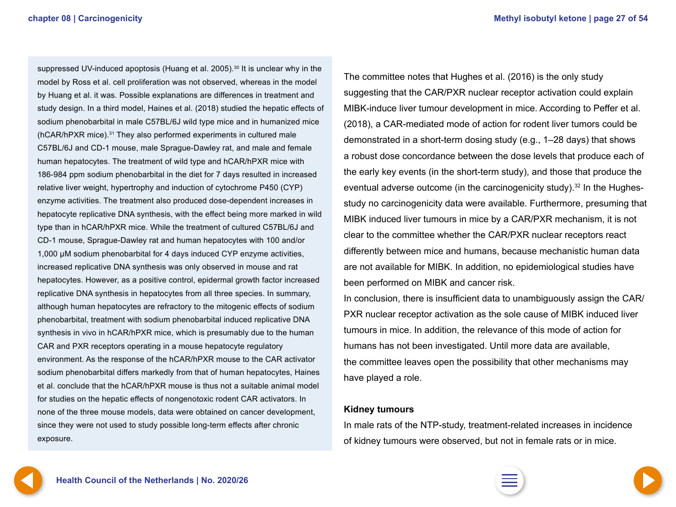suppressed UV-induced apoptosis (Huang et al. 2005).<sup>30</sup> It is unclear why in the model by Ross et al. cell proliferation was not observed, whereas in the model by Huang et al. it was. Possible explanations are differences in treatment and study design. In a third model, Haines et al. (2018) studied the hepatic effects of sodium phenobarbital in male C57BL/6J wild type mice and in humanized mice  $(hCAR/hPXR$  mice).<sup>31</sup> They also performed experiments in cultured male C57BL/6J and CD-1 mouse, male Sprague-Dawley rat, and male and female human hepatocytes. The treatment of wild type and hCAR/hPXR mice with 186-984 ppm sodium phenobarbital in the diet for 7 days resulted in increased relative liver weight, hypertrophy and induction of cytochrome P450 (CYP) enzyme activities. The treatment also produced dose-dependent increases in hepatocyte replicative DNA synthesis, with the effect being more marked in wild type than in hCAR/hPXR mice. While the treatment of cultured C57BL/6J and CD-1 mouse, Sprague-Dawley rat and human hepatocytes with 100 and/or 1,000 μM sodium phenobarbital for 4 days induced CYP enzyme activities, increased replicative DNA synthesis was only observed in mouse and rat hepatocytes. However, as a positive control, epidermal growth factor increased replicative DNA synthesis in hepatocytes from all three species. In summary, although human hepatocytes are refractory to the mitogenic effects of sodium phenobarbital, treatment with sodium phenobarbital induced replicative DNA synthesis in vivo in hCAR/hPXR mice, which is presumably due to the human CAR and PXR receptors operating in a mouse hepatocyte regulatory environment. As the response of the hCAR/hPXR mouse to the CAR activator sodium phenobarbital differs markedly from that of human hepatocytes, Haines et al. conclude that the hCAR/hPXR mouse is thus not a suitable animal model for studies on the hepatic effects of nongenotoxic rodent CAR activators. In none of the three mouse models, data were obtained on cancer development, since they were not used to study possible long-term effects after chronic exposure.

The committee notes that Hughes et al. (2016) is the only study suggesting that the CAR/PXR nuclear receptor activation could explain MIBK-induce liver tumour development in mice. According to Peffer et al. (2018), a CAR-mediated mode of action for rodent liver tumors could be demonstrated in a short-term dosing study (e.g., 1–28 days) that shows a robust dose concordance between the dose levels that produce each of the early key events (in the short-term study), and those that produce the eventual adverse outcome (in the carcinogenicity study).<sup>32</sup> In the Hughesstudy no carcinogenicity data were available. Furthermore, presuming that MIBK induced liver tumours in mice by a CAR/PXR mechanism, it is not clear to the committee whether the CAR/PXR nuclear receptors react differently between mice and humans, because mechanistic human data are not available for MIBK. In addition, no epidemiological studies have been performed on MIBK and cancer risk.

In conclusion, there is insufficient data to unambiguously assign the CAR/ PXR nuclear receptor activation as the sole cause of MIBK induced liver tumours in mice. In addition, the relevance of this mode of action for humans has not been investigated. Until more data are available, the committee leaves open the possibility that other mechanisms may have played a role.

#### **Kidney tumours**

In male rats of the NTP-study, treatment-related increases in incidence of kidney tumours were observed, but not in female rats or in mice.

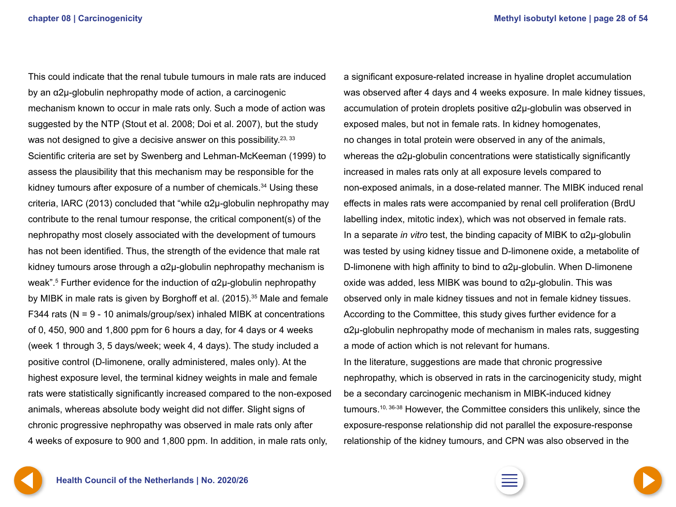<span id="page-27-0"></span>This could indicate that the renal tubule tumours in male rats are induced by an α2µ-globulin nephropathy mode of action, a carcinogenic mechanism known to occur in male rats only. Such a mode of action was suggested by the NTP (Stout et al. 2008; Doi et al. 2007), but the study was not designed to give a decisive answer on this possibility.<sup>23, 33</sup> Scientific criteria are set by Swenberg and Lehman-McKeeman (1999) to assess the plausibility that this mechanism may be responsible for the kidney tumours after exposure of a number of chemicals.<sup>34</sup> Using these criteria, IARC (2013) concluded that "while α2µ-globulin nephropathy may contribute to the renal tumour response, the critical component(s) of the nephropathy most closely associated with the development of tumours has not been identified. Thus, the strength of the evidence that male rat kidney tumours arose through a  $\alpha$ 2µ-globulin nephropathy mechanism is weak".<sup>5</sup> Further evidence for the induction of  $\alpha$ 2µ-globulin nephropathy by MIBK in male rats is given by Borghoff et al. (2015).35 Male and female F344 rats (N = 9 - 10 animals/group/sex) inhaled MIBK at concentrations of 0, 450, 900 and 1,800 ppm for 6 hours a day, for 4 days or 4 weeks (week 1 through 3, 5 days/week; week 4, 4 days). The study included a positive control (D-limonene, orally administered, males only). At the highest exposure level, the terminal kidney weights in male and female rats were statistically significantly increased compared to the non-exposed animals, whereas absolute body weight did not differ. Slight signs of chronic progressive nephropathy was observed in male rats only after 4 weeks of exposure to 900 and 1,800 ppm. In addition, in male rats only,

a significant exposure-related increase in hyaline droplet accumulation was observed after 4 days and 4 weeks exposure. In male kidney tissues, accumulation of protein droplets positive α2µ-globulin was observed in exposed males, but not in female rats. In kidney homogenates, no changes in total protein were observed in any of the animals, whereas the α2µ-globulin concentrations were statistically significantly increased in males rats only at all exposure levels compared to non-exposed animals, in a dose-related manner. The MIBK induced renal effects in males rats were accompanied by renal cell proliferation (BrdU labelling index, mitotic index), which was not observed in female rats. In a separate *in vitro* test, the binding capacity of MIBK to α2µ-globulin was tested by using kidney tissue and D-limonene oxide, a metabolite of D-limonene with high affinity to bind to α2µ-globulin. When D-limonene oxide was added, less MIBK was bound to  $α2μ$ -globulin. This was observed only in male kidney tissues and not in female kidney tissues. According to the Committee, this study gives further evidence for a α2µ-globulin nephropathy mode of mechanism in males rats, suggesting a mode of action which is not relevant for humans. In the literature, suggestions are made that chronic progressive nephropathy, which is observed in rats in the carcinogenicity study, might be a secondary carcinogenic mechanism in MIBK-induced kidney tumours.10, 36-38 However, the Committee considers this unlikely, since the exposure-response relationship did not parallel the exposure-response relationship of the kidney tumours, and CPN was also observed in the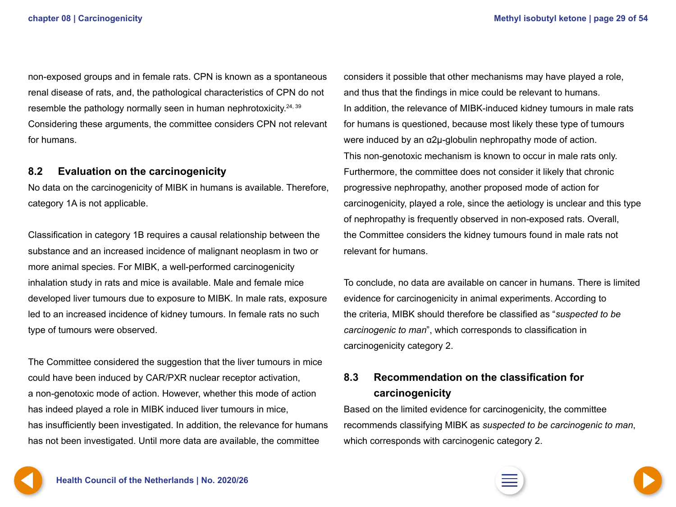<span id="page-28-0"></span>non-exposed groups and in female rats. CPN is known as a spontaneous renal disease of rats, and, the pathological characteristics of CPN do not resemble the pathology normally seen in human nephrotoxicity.<sup>24, 39</sup> Considering these arguments, the committee considers CPN not relevant for humans.

### **8.2 Evaluation on the carcinogenicity**

No data on the carcinogenicity of MIBK in humans is available. Therefore, category 1A is not applicable.

Classification in category 1B requires a causal relationship between the substance and an increased incidence of malignant neoplasm in two or more animal species. For MIBK, a well-performed carcinogenicity inhalation study in rats and mice is available. Male and female mice developed liver tumours due to exposure to MIBK. In male rats, exposure led to an increased incidence of kidney tumours. In female rats no such type of tumours were observed.

The Committee considered the suggestion that the liver tumours in mice could have been induced by CAR/PXR nuclear receptor activation, a non-genotoxic mode of action. However, whether this mode of action has indeed played a role in MIBK induced liver tumours in mice, has insufficiently been investigated. In addition, the relevance for humans has not been investigated. Until more data are available, the committee

considers it possible that other mechanisms may have played a role, and thus that the findings in mice could be relevant to humans. In addition, the relevance of MIBK-induced kidney tumours in male rats for humans is questioned, because most likely these type of tumours were induced by an α2µ-globulin nephropathy mode of action. This non-genotoxic mechanism is known to occur in male rats only. Furthermore, the committee does not consider it likely that chronic progressive nephropathy, another proposed mode of action for carcinogenicity, played a role, since the aetiology is unclear and this type of nephropathy is frequently observed in non-exposed rats. Overall, the Committee considers the kidney tumours found in male rats not relevant for humans.

To conclude, no data are available on cancer in humans. There is limited evidence for carcinogenicity in animal experiments. According to the criteria, MIBK should therefore be classified as "*suspected to be carcinogenic to man*", which corresponds to classification in carcinogenicity category 2.

### **8.3 Recommendation on the classification for carcinogenicity**

Based on the limited evidence for carcinogenicity, the committee recommends classifying MIBK as *suspected to be carcinogenic to man*, which corresponds with carcinogenic category 2.

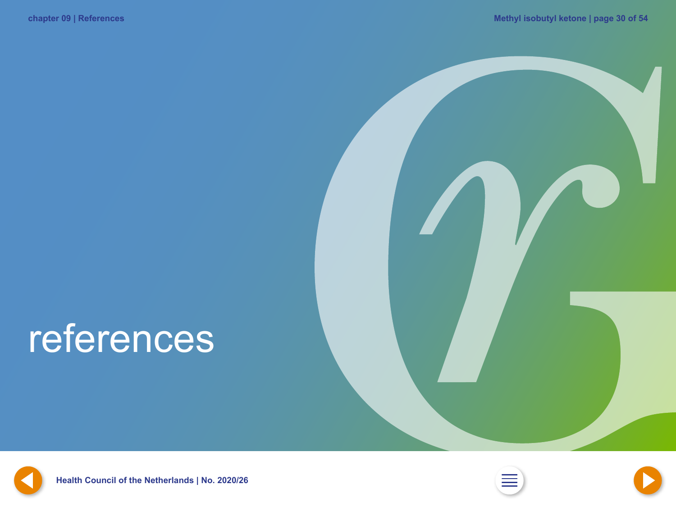# <span id="page-29-0"></span>references



**Health Council of the Netherlands | No. [2](#page-1-0)020/26** 



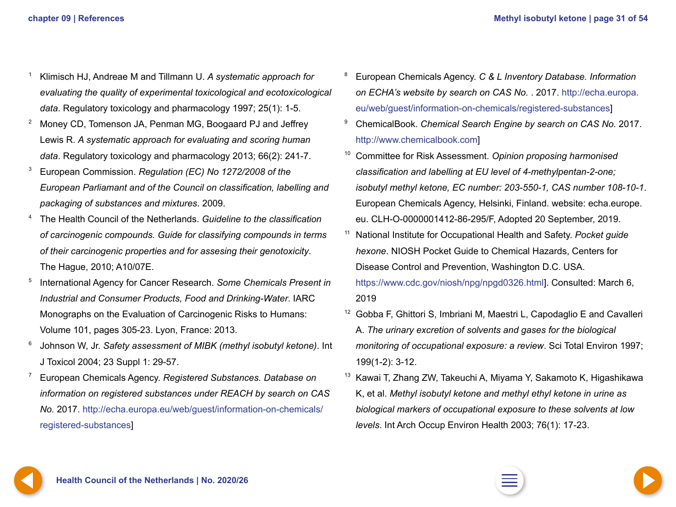- <span id="page-30-0"></span><sup>1</sup> Klimisch HJ, Andreae M and Tillmann U. *A systematic approach for evaluating the quality of experimental toxicological and ecotoxicological data*. Regulatory toxicology and pharmacology 1997; 25(1): 1-5.
- <sup>2</sup> Money CD, Tomenson JA, Penman MG, Boogaard PJ and Jeffrey Lewis R. *A systematic approach for evaluating and scoring human data*. Regulatory toxicology and pharmacology 2013; 66(2): 241-7.
- <sup>3</sup> European Commission. *Regulation (EC) No 1272/2008 of the European Parliamant and of the Council on classification, labelling and packaging of substances and mixtures*. 2009.
- <sup>4</sup> The Health Council of the Netherlands. *Guideline to the classification of carcinogenic compounds. Guide for classifying compounds in terms of their carcinogenic properties and for assesing their genotoxicity*. The Hague, 2010; A10/07E.
- <sup>5</sup> International Agency for Cancer Research. *Some Chemicals Present in Industrial and Consumer Products, Food and Drinking-Water*. IARC Monographs on the Evaluation of Carcinogenic Risks to Humans: Volume 101, pages 305-23. Lyon, France: 2013.
- <sup>6</sup> Johnson W, Jr. *Safety assessment of MIBK (methyl isobutyl ketone)*. Int J Toxicol 2004; 23 Suppl 1: 29-57.
- <sup>7</sup> European Chemicals Agency. *Registered Substances. Database on information on registered substances under REACH by search on CAS No.* 2017. [http://echa.europa.eu/web/guest/information-on-chemicals/](http://echa.europa.eu/web/guest/information-on-chemicals/registered-substances) [registered-substances](http://echa.europa.eu/web/guest/information-on-chemicals/registered-substances)]
- <sup>8</sup> European Chemicals Agency. *C & L Inventory Database. Information on ECHA's website by search on CAS No.* . 2017. [http://echa.europa.](http://echa.europa.eu/web/guest/information-on-chemicals/registered-substances) [eu/web/guest/information-on-chemicals/registered-substances](http://echa.europa.eu/web/guest/information-on-chemicals/registered-substances)]
- <sup>9</sup> ChemicalBook. *Chemical Search Engine by search on CAS No.* 2017. <http://www>.chemicalbook.com]
- <sup>10</sup> Committee for Risk Assessment. *Opinion proposing harmonised classification and labelling at EU level of 4-methylpentan-2-one; isobutyl methyl ketone, EC number: 203-550-1, CAS number 108-10-1*. European Chemicals Agency, Helsinki, Finland. website: echa.europe. eu. CLH-O-0000001412-86-295/F, Adopted 20 September, 2019.
- <sup>11</sup> National Institute for Occupational Health and Safety. *Pocket guide hexone*. NIOSH Pocket Guide to Chemical Hazards, Centers for Disease Control and Prevention, Washington D.C. USA. <https://www.cdc.gov/niosh/npg/npgd0326.html>]. Consulted: March 6, 2019
- <sup>12</sup> Gobba F, Ghittori S, Imbriani M, Maestri L, Capodaglio E and Cavalleri A. *The urinary excretion of solvents and gases for the biological monitoring of occupational exposure: a review*. Sci Total Environ 1997; 199(1-2): 3-12.
- <sup>13</sup> Kawai T, Zhang ZW, Takeuchi A, Miyama Y, Sakamoto K, Higashikawa K, et al. *Methyl isobutyl ketone and methyl ethyl ketone in urine as biological markers of occupational exposure to these solvents at low levels*. Int Arch Occup Environ Health 2003; 76(1): 17-23.



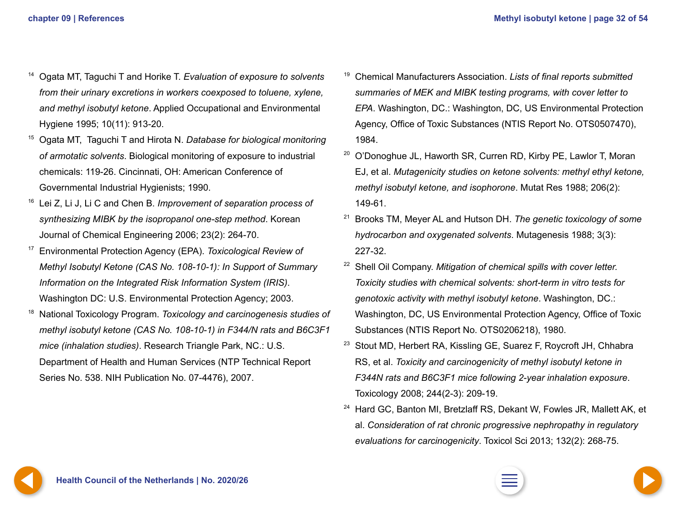- <span id="page-31-0"></span><sup>14</sup> Ogata MT, Taguchi T and Horike T. *Evaluation of exposure to solvents from their urinary excretions in workers coexposed to toluene, xylene, and methyl isobutyl ketone*. Applied Occupational and Environmental Hygiene 1995; 10(11): 913-20.
- <sup>15</sup> Ogata MT, Taguchi T and Hirota N. *Database for biological monitoring of armotatic solvents*. Biological monitoring of exposure to industrial chemicals: 119-26. Cincinnati, OH: American Conference of Governmental Industrial Hygienists; 1990.
- <sup>16</sup> Lei Z, Li J, Li C and Chen B. *Improvement of separation process of synthesizing MIBK by the isopropanol one-step method*. Korean Journal of Chemical Engineering 2006; 23(2): 264-70.
- <sup>17</sup> Environmental Protection Agency (EPA). *Toxicological Review of Methyl Isobutyl Ketone (CAS No. 108-10-1): In Support of Summary Information on the Integrated Risk Information System (IRIS)*. Washington DC: U.S. Environmental Protection Agency; 2003.
- <sup>18</sup> National Toxicology Program. *Toxicology and carcinogenesis studies of methyl isobutyl ketone (CAS No. 108-10-1) in F344/N rats and B6C3F1 mice (inhalation studies)*. Research Triangle Park, NC.: U.S. Department of Health and Human Services (NTP Technical Report Series No. 538. NIH Publication No. 07-4476), 2007.
- <sup>19</sup> Chemical Manufacturers Association. *Lists of final reports submitted summaries of MEK and MIBK testing programs, with cover letter to EPA*. Washington, DC.: Washington, DC, US Environmental Protection Agency, Office of Toxic Substances (NTIS Report No. OTS0507470), 1984.
- $20$  O'Donoghue JL, Haworth SR, Curren RD, Kirby PE, Lawlor T, Moran EJ, et al. *Mutagenicity studies on ketone solvents: methyl ethyl ketone, methyl isobutyl ketone, and isophorone*. Mutat Res 1988; 206(2): 149-61.
- <sup>21</sup> Brooks TM, Meyer AL and Hutson DH. *The genetic toxicology of some hydrocarbon and oxygenated solvents*. Mutagenesis 1988; 3(3): 227-32.
- <sup>22</sup> Shell Oil Company. *Mitigation of chemical spills with cover letter. Toxicity studies with chemical solvents: short-term in vitro tests for genotoxic activity with methyl isobutyl ketone*. Washington, DC.: Washington, DC, US Environmental Protection Agency, Office of Toxic Substances (NTIS Report No. OTS0206218), 1980.
- <sup>23</sup> Stout MD, Herbert RA, Kissling GE, Suarez F, Roycroft JH, Chhabra RS, et al. *Toxicity and carcinogenicity of methyl isobutyl ketone in F344N rats and B6C3F1 mice following 2-year inhalation exposure*. Toxicology 2008; 244(2-3): 209-19.
- <sup>24</sup> Hard GC, Banton MI, Bretzlaff RS, Dekant W, Fowles JR, Mallett AK, et al. *Consideration of rat chronic progressive nephropathy in regulatory evaluations for carcinogenicity*. Toxicol Sci 2013; 132(2): 268-75.

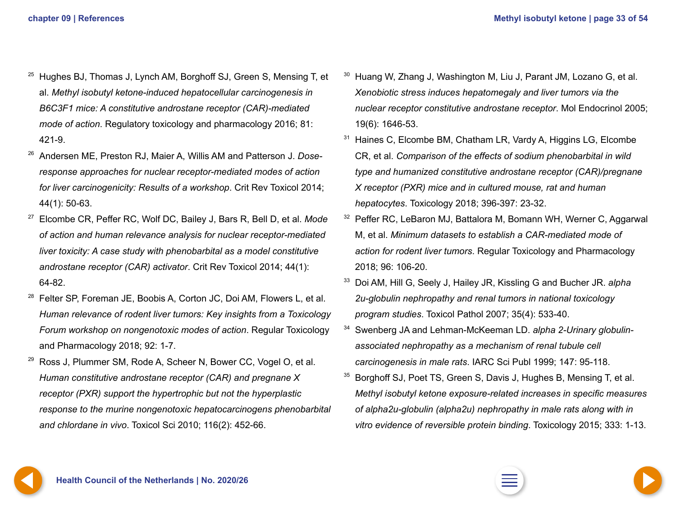- <span id="page-32-0"></span><sup>25</sup> Hughes BJ, Thomas J, Lynch AM, Borghoff SJ, Green S, Mensing T, et al. *Methyl isobutyl ketone-induced hepatocellular carcinogenesis in B6C3F1 mice: A constitutive androstane receptor (CAR)-mediated mode of action*. Regulatory toxicology and pharmacology 2016; 81: 421-9.
- <sup>26</sup> Andersen ME, Preston RJ, Maier A, Willis AM and Patterson J. *Doseresponse approaches for nuclear receptor-mediated modes of action for liver carcinogenicity: Results of a workshop*. Crit Rev Toxicol 2014; 44(1): 50-63.
- <sup>27</sup> Elcombe CR, Peffer RC, Wolf DC, Bailey J, Bars R, Bell D, et al. *Mode of action and human relevance analysis for nuclear receptor-mediated liver toxicity: A case study with phenobarbital as a model constitutive androstane receptor (CAR) activator*. Crit Rev Toxicol 2014; 44(1): 64-82.
- <sup>28</sup> Felter SP, Foreman JE, Boobis A, Corton JC, Doi AM, Flowers L, et al. *Human relevance of rodent liver tumors: Key insights from a Toxicology Forum workshop on nongenotoxic modes of action*. Regular Toxicology and Pharmacology 2018; 92: 1-7.
- Ross J, Plummer SM, Rode A, Scheer N, Bower CC, Vogel O, et al. *Human constitutive androstane receptor (CAR) and pregnane X receptor (PXR) support the hypertrophic but not the hyperplastic response to the murine nongenotoxic hepatocarcinogens phenobarbital and chlordane in vivo*. Toxicol Sci 2010; 116(2): 452-66.
- <sup>30</sup> Huang W, Zhang J, Washington M, Liu J, Parant JM, Lozano G, et al. *Xenobiotic stress induces hepatomegaly and liver tumors via the nuclear receptor constitutive androstane receptor*. Mol Endocrinol 2005; 19(6): 1646-53.
- <sup>31</sup> Haines C, Elcombe BM, Chatham LR, Vardy A, Higgins LG, Elcombe CR, et al. *Comparison of the effects of sodium phenobarbital in wild type and humanized constitutive androstane receptor (CAR)/pregnane X receptor (PXR) mice and in cultured mouse, rat and human hepatocytes*. Toxicology 2018; 396-397: 23-32.
- <sup>32</sup> Peffer RC, LeBaron MJ, Battalora M, Bomann WH, Werner C, Aggarwal M, et al. *Minimum datasets to establish a CAR-mediated mode of action for rodent liver tumors*. Regular Toxicology and Pharmacology 2018; 96: 106-20.
- <sup>33</sup> Doi AM, Hill G, Seely J, Hailey JR, Kissling G and Bucher JR. *alpha 2u-globulin nephropathy and renal tumors in national toxicology program studies*. Toxicol Pathol 2007; 35(4): 533-40.
- <sup>34</sup> Swenberg JA and Lehman-McKeeman LD. *alpha 2-Urinary globulinassociated nephropathy as a mechanism of renal tubule cell carcinogenesis in male rats*. IARC Sci Publ 1999; 147: 95-118.
- <sup>35</sup> Borghoff SJ, Poet TS, Green S, Davis J, Hughes B, Mensing T, et al. *Methyl isobutyl ketone exposure-related increases in specific measures of alpha2u-globulin (alpha2u) nephropathy in male rats along with in vitro evidence of reversible protein binding*. Toxicology 2015; 333: 1-13.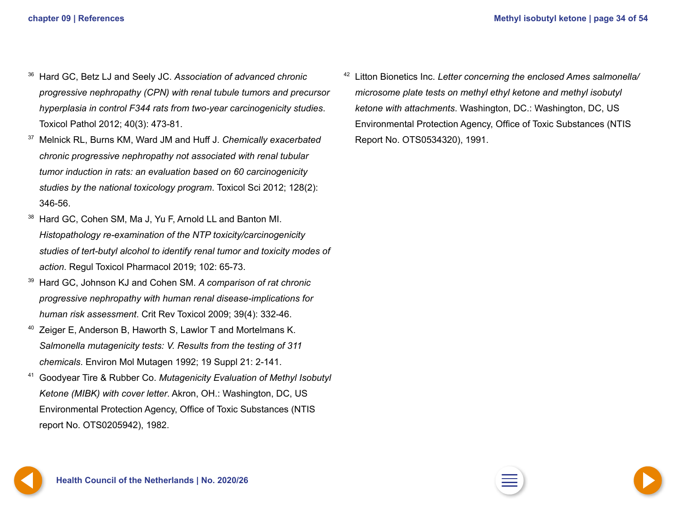- <span id="page-33-0"></span><sup>36</sup> Hard GC, Betz LJ and Seely JC. *Association of advanced chronic progressive nephropathy (CPN) with renal tubule tumors and precursor hyperplasia in control F344 rats from two-year carcinogenicity studies*. Toxicol Pathol 2012; 40(3): 473-81.
- <sup>37</sup> Melnick RL, Burns KM, Ward JM and Huff J. *Chemically exacerbated chronic progressive nephropathy not associated with renal tubular tumor induction in rats: an evaluation based on 60 carcinogenicity studies by the national toxicology program*. Toxicol Sci 2012; 128(2): 346-56.
- Hard GC, Cohen SM, Ma J, Yu F, Arnold LL and Banton MI. *Histopathology re-examination of the NTP toxicity/carcinogenicity studies of tert-butyl alcohol to identify renal tumor and toxicity modes of action*. Regul Toxicol Pharmacol 2019; 102: 65-73.
- <sup>39</sup> Hard GC, Johnson KJ and Cohen SM. *A comparison of rat chronic progressive nephropathy with human renal disease-implications for human risk assessment*. Crit Rev Toxicol 2009; 39(4): 332-46.
- Zeiger E, Anderson B, Haworth S, Lawlor T and Mortelmans K. *Salmonella mutagenicity tests: V. Results from the testing of 311 chemicals*. Environ Mol Mutagen 1992; 19 Suppl 21: 2-141.
- <sup>41</sup> Goodyear Tire & Rubber Co. *Mutagenicity Evaluation of Methyl Isobutyl Ketone (MIBK) with cover letter*. Akron, OH.: Washington, DC, US Environmental Protection Agency, Office of Toxic Substances (NTIS report No. OTS0205942), 1982.

<sup>42</sup> Litton Bionetics Inc. *Letter concerning the enclosed Ames salmonella/ microsome plate tests on methyl ethyl ketone and methyl isobutyl ketone with attachments*. Washington, DC.: Washington, DC, US Environmental Protection Agency, Office of Toxic Substances (NTIS Report No. OTS0534320), 1991.

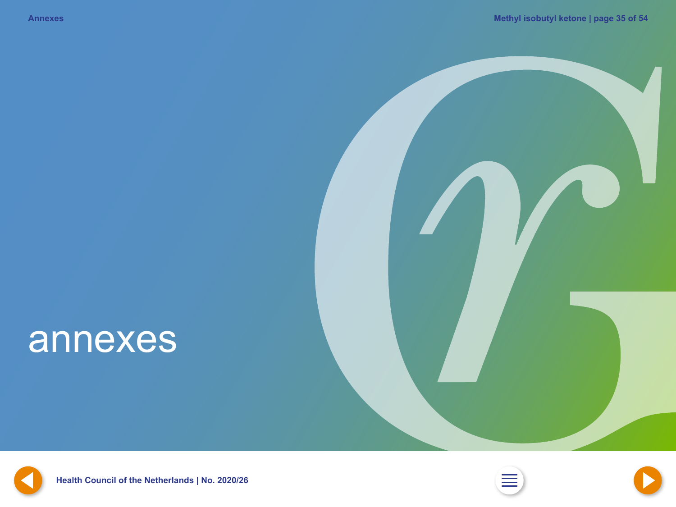# <span id="page-34-0"></span>annexes



**Health Council of the Netherlands | No. [2](#page-1-0)020/26** 



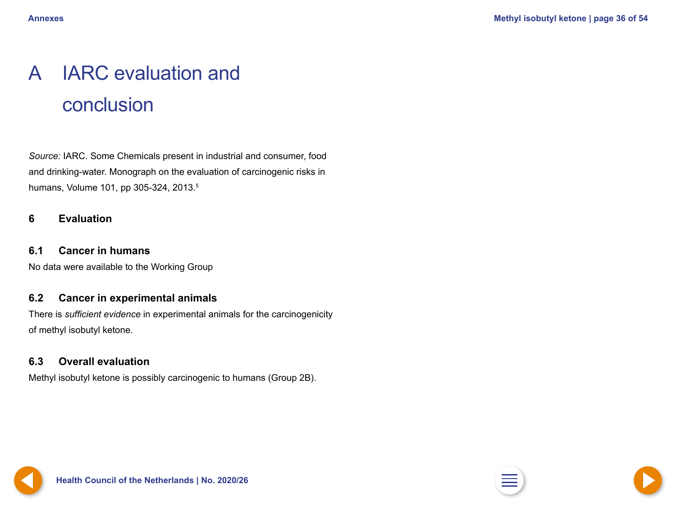# <span id="page-35-0"></span>A IARC evaluation and conclusion

*Source:* IARC. Some Chemicals present in industrial and consumer, food and drinking-water. Monograph on the evaluation of carcinogenic risks in humans, Volume 101, pp 305-324, 2013.<sup>5</sup>

### **6 Evaluation**

### **6.1 Cancer in humans**

No data were available to the Working Group

### **6.2 Cancer in experimental animals**

There is *sufficient evidence* in experimental animals for the carcinogenicity of methyl isobutyl ketone.

### **6.3 Overall evaluation**

Methyl isobutyl ketone is possibly carcinogenic to humans (Group 2B).

**[34](#page-34-0) Health Council of the Netherlands | No. 2020/26 [2](#page-1-0) [36](#page-36-0)**

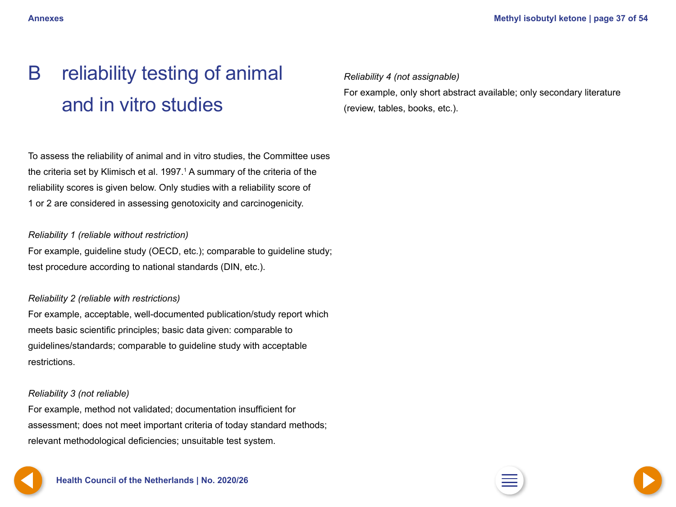# <span id="page-36-0"></span>B reliability testing of animal and in vitro studies

To assess the reliability of animal and in vitro studies, the Committee uses the criteria set by Klimisch et al. 1997. $1$  A summary of the criteria of the reliability scores is given below. Only studies with a reliability score of 1 or 2 are considered in assessing genotoxicity and carcinogenicity.

### *Reliability 1 (reliable without restriction)*

For example, guideline study (OECD, etc.); comparable to guideline study; test procedure according to national standards (DIN, etc.).

### *Reliability 2 (reliable with restrictions)*

For example, acceptable, well-documented publication/study report which meets basic scientific principles; basic data given: comparable to guidelines/standards; comparable to guideline study with acceptable restrictions.

### *Reliability 3 (not reliable)*

For example, method not validated; documentation insufficient for assessment; does not meet important criteria of today standard methods; relevant methodological deficiencies; unsuitable test system.





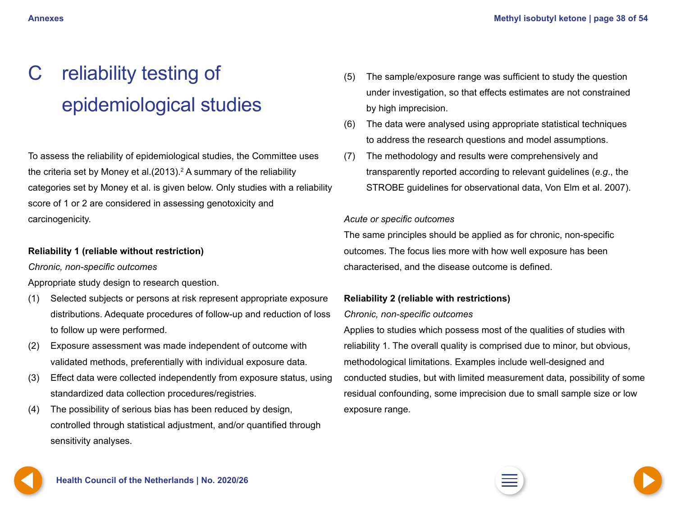# <span id="page-37-0"></span>C reliability testing of epidemiological studies

To assess the reliability of epidemiological studies, the Committee uses the criteria set by Money et al. $(2013).<sup>2</sup>$  A summary of the reliability categories set by Money et al. is given below. Only studies with a reliability score of 1 or 2 are considered in assessing genotoxicity and carcinogenicity.

### **Reliability 1 (reliable without restriction)**

*Chronic, non-specific outcomes*

Appropriate study design to research question.

- (1) Selected subjects or persons at risk represent appropriate exposure distributions. Adequate procedures of follow-up and reduction of loss to follow up were performed.
- (2) Exposure assessment was made independent of outcome with validated methods, preferentially with individual exposure data.
- (3) Effect data were collected independently from exposure status, using standardized data collection procedures/registries.
- (4) The possibility of serious bias has been reduced by design, controlled through statistical adjustment, and/or quantified through sensitivity analyses.
- (5) The sample/exposure range was sufficient to study the question under investigation, so that effects estimates are not constrained by high imprecision.
- (6) The data were analysed using appropriate statistical techniques to address the research questions and model assumptions.
- (7) The methodology and results were comprehensively and transparently reported according to relevant guidelines (*e.g*., the STROBE guidelines for observational data, Von Elm et al. 2007).

### *Acute or specific outcomes*

The same principles should be applied as for chronic, non-specific outcomes. The focus lies more with how well exposure has been characterised, and the disease outcome is defined.

### **Reliability 2 (reliable with restrictions)**

### *Chronic, non-specific outcomes*

Applies to studies which possess most of the qualities of studies with reliability 1. The overall quality is comprised due to minor, but obvious, methodological limitations. Examples include well-designed and conducted studies, but with limited measurement data, possibility of some residual confounding, some imprecision due to small sample size or low exposure range.



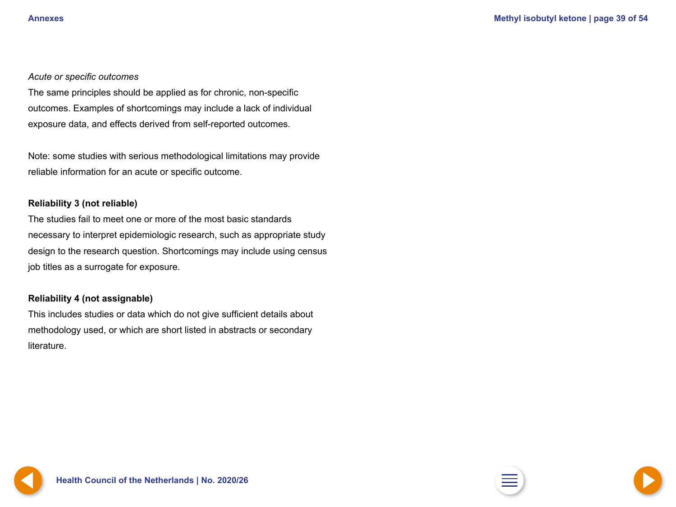### <span id="page-38-0"></span>*Acute or specific outcomes*

The same principles should be applied as for chronic, non-specific outcomes. Examples of shortcomings may include a lack of individual exposure data, and effects derived from self-reported outcomes.

Note: some studies with serious methodological limitations may provide reliable information for an acute or specific outcome.

### **Reliability 3 (not reliable)**

The studies fail to meet one or more of the most basic standards necessary to interpret epidemiologic research, such as appropriate study design to the research question. Shortcomings may include using census job titles as a surrogate for exposure.

### **Reliability 4 (not assignable)**

This includes studies or data which do not give sufficient details about methodology used, or which are short listed in abstracts or secondary literature.



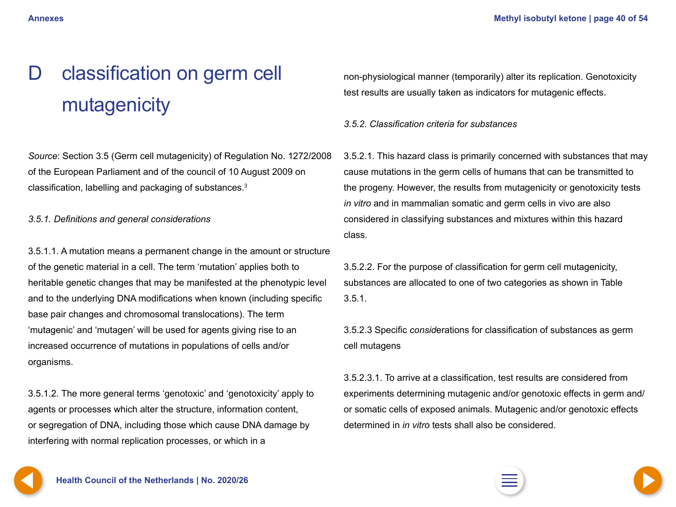# <span id="page-39-0"></span>D classification on germ cell mutagenicity

*Source*: Section 3.5 (Germ cell mutagenicity) of Regulation No. 1272/2008 of the European Parliament and of the council of 10 August 2009 on classification, labelling and packaging of substances.<sup>3</sup>

*3.5.1. Definitions and general considerations*

3.5.1.1. A mutation means a permanent change in the amount or structure of the genetic material in a cell. The term 'mutation' applies both to heritable genetic changes that may be manifested at the phenotypic level and to the underlying DNA modifications when known (including specific base pair changes and chromosomal translocations). The term 'mutagenic' and 'mutagen' will be used for agents giving rise to an increased occurrence of mutations in populations of cells and/or organisms.

3.5.1.2. The more general terms 'genotoxic' and 'genotoxicity' apply to agents or processes which alter the structure, information content, or segregation of DNA, including those which cause DNA damage by interfering with normal replication processes, or which in a

non-physiological manner (temporarily) alter its replication. Genotoxicity test results are usually taken as indicators for mutagenic effects.

*3.5.2. Classification criteria for substances*

3.5.2.1. This hazard class is primarily concerned with substances that may cause mutations in the germ cells of humans that can be transmitted to the progeny. However, the results from mutagenicity or genotoxicity tests *in vitro* and in mammalian somatic and germ cells in vivo are also considered in classifying substances and mixtures within this hazard class.

3.5.2.2. For the purpose of classification for germ cell mutagenicity, substances are allocated to one of two categories as shown in Table 3.5.1.

3.5.2.3 Specific *consid*erations for classification of substances as germ cell mutagens

3.5.2.3.1. To arrive at a classification, test results are considered from experiments determining mutagenic and/or genotoxic effects in germ and/ or somatic cells of exposed animals. Mutagenic and/or genotoxic effects determined in *in vitro* tests shall also be considered.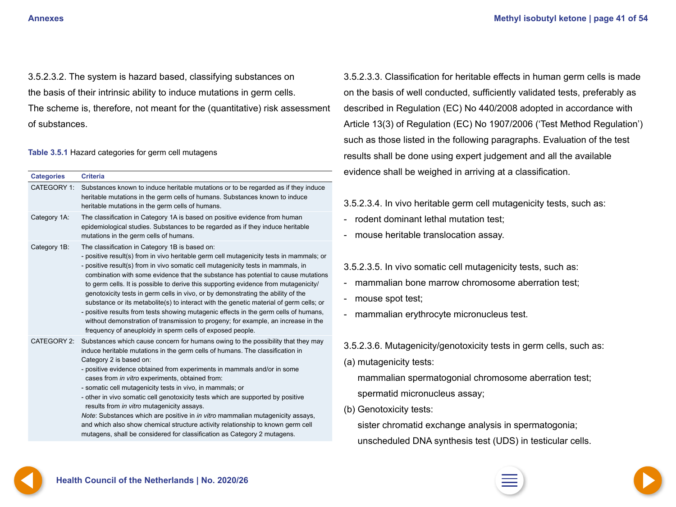<span id="page-40-0"></span>3.5.2.3.2. The system is hazard based, classifying substances on the basis of their intrinsic ability to induce mutations in germ cells. The scheme is, therefore, not meant for the (quantitative) risk assessment of substances.

#### **Table 3.5.1** Hazard categories for germ cell mutagens

| <b>Categories</b>  | <b>Criteria</b>                                                                                                                                                                                                                                                                                                                                                                                                                                                                                                                                                                                                                                                                                                                                                                                                                    |
|--------------------|------------------------------------------------------------------------------------------------------------------------------------------------------------------------------------------------------------------------------------------------------------------------------------------------------------------------------------------------------------------------------------------------------------------------------------------------------------------------------------------------------------------------------------------------------------------------------------------------------------------------------------------------------------------------------------------------------------------------------------------------------------------------------------------------------------------------------------|
| CATEGORY 1:        | Substances known to induce heritable mutations or to be regarded as if they induce<br>heritable mutations in the germ cells of humans. Substances known to induce<br>heritable mutations in the germ cells of humans.                                                                                                                                                                                                                                                                                                                                                                                                                                                                                                                                                                                                              |
| Category 1A:       | The classification in Category 1A is based on positive evidence from human<br>epidemiological studies. Substances to be regarded as if they induce heritable<br>mutations in the germ cells of humans.                                                                                                                                                                                                                                                                                                                                                                                                                                                                                                                                                                                                                             |
| Category 1B:       | The classification in Category 1B is based on:<br>- positive result(s) from in vivo heritable germ cell mutagenicity tests in mammals; or<br>- positive result(s) from in vivo somatic cell mutagenicity tests in mammals, in<br>combination with some evidence that the substance has potential to cause mutations<br>to germ cells. It is possible to derive this supporting evidence from mutagenicity/<br>genotoxicity tests in germ cells in vivo, or by demonstrating the ability of the<br>substance or its metabolite(s) to interact with the genetic material of germ cells; or<br>- positive results from tests showing mutagenic effects in the germ cells of humans,<br>without demonstration of transmission to progeny; for example, an increase in the<br>frequency of aneuploidy in sperm cells of exposed people. |
| <b>CATEGORY 2:</b> | Substances which cause concern for humans owing to the possibility that they may<br>induce heritable mutations in the germ cells of humans. The classification in<br>Category 2 is based on:<br>- positive evidence obtained from experiments in mammals and/or in some<br>cases from in vitro experiments, obtained from:<br>- somatic cell mutagenicity tests in vivo, in mammals; or<br>- other in vivo somatic cell genotoxicity tests which are supported by positive<br>results from in vitro mutagenicity assays.<br>Note: Substances which are positive in in vitro mammalian mutagenicity assays,<br>and which also show chemical structure activity relationship to known germ cell<br>mutagens, shall be considered for classification as Category 2 mutagens.                                                          |

3.5.2.3.3. Classification for heritable effects in human germ cells is made on the basis of well conducted, sufficiently validated tests, preferably as described in Regulation (EC) No 440/2008 adopted in accordance with Article 13(3) of Regulation (EC) No 1907/2006 ('Test Method Regulation') such as those listed in the following paragraphs. Evaluation of the test results shall be done using expert judgement and all the available evidence shall be weighed in arriving at a classification.

3.5.2.3.4. In vivo heritable germ cell mutagenicity tests, such as:

- rodent dominant lethal mutation test:
- mouse heritable translocation assay.

### 3.5.2.3.5. In vivo somatic cell mutagenicity tests, such as:

- mammalian bone marrow chromosome aberration test:
- mouse spot test;
- mammalian erythrocyte micronucleus test.
- 3.5.2.3.6. Mutagenicity/genotoxicity tests in germ cells, such as:
- (a) mutagenicity tests:

mammalian spermatogonial chromosome aberration test; spermatid micronucleus assay;

(b) Genotoxicity tests:

sister chromatid exchange analysis in spermatogonia; unscheduled DNA synthesis test (UDS) in testicular cells.



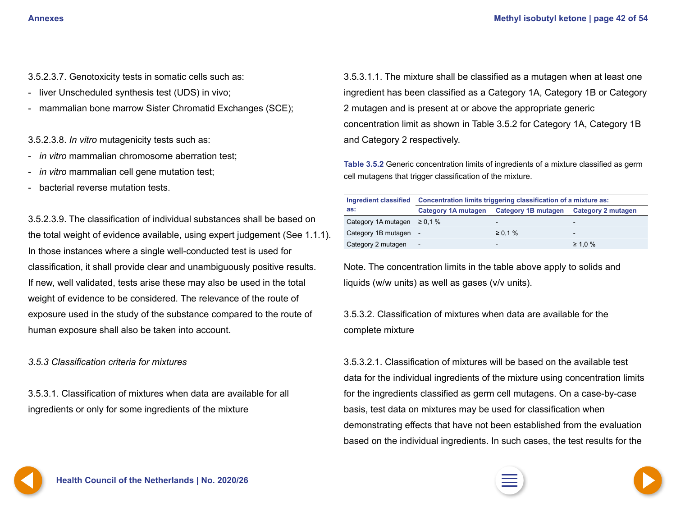- <span id="page-41-0"></span>3.5.2.3.7. Genotoxicity tests in somatic cells such as:
- liver Unscheduled synthesis test (UDS) in vivo;
- mammalian bone marrow Sister Chromatid Exchanges (SCE);

3.5.2.3.8. *In vitro* mutagenicity tests such as:

- *in vitro* mammalian chromosome aberration test;
- *in vitro* mammalian cell gene mutation test;
- bacterial reverse mutation tests.

3.5.2.3.9. The classification of individual substances shall be based on the total weight of evidence available, using expert judgement (See 1.1.1). In those instances where a single well-conducted test is used for classification, it shall provide clear and unambiguously positive results. If new, well validated, tests arise these may also be used in the total weight of evidence to be considered. The relevance of the route of exposure used in the study of the substance compared to the route of human exposure shall also be taken into account.

*3.5.3 Classification criteria for mixtures*

3.5.3.1. Classification of mixtures when data are available for all ingredients or only for some ingredients of the mixture

3.5.3.1.1. The mixture shall be classified as a mutagen when at least one ingredient has been classified as a Category 1A, Category 1B or Category 2 mutagen and is present at or above the appropriate generic concentration limit as shown in Table 3.5.2 for Category 1A, Category 1B and Category 2 respectively.

**Table 3.5.2** Generic concentration limits of ingredients of a mixture classified as germ cell mutagens that trigger classification of the mixture.

| Ingredient classified            | Concentration limits triggering classification of a mixture as: |                                                              |                          |  |
|----------------------------------|-----------------------------------------------------------------|--------------------------------------------------------------|--------------------------|--|
| as:                              |                                                                 | Category 1A mutagen  Category 1B mutagen  Category 2 mutagen |                          |  |
| Category 1A mutagen $\geq 0.1$ % |                                                                 | $\,$                                                         | $\overline{\phantom{0}}$ |  |
| Category 1B mutagen -            |                                                                 | $\geq 0.1 \%$                                                | $\qquad \qquad$          |  |
| Category 2 mutagen               | $\hskip1em -$                                                   | $\overline{\phantom{a}}$                                     | $\geq 1.0 \%$            |  |

Note. The concentration limits in the table above apply to solids and liquids (w/w units) as well as gases (v/v units).

3.5.3.2. Classification of mixtures when data are available for the complete mixture

3.5.3.2.1. Classification of mixtures will be based on the available test data for the individual ingredients of the mixture using concentration limits for the ingredients classified as germ cell mutagens. On a case-by-case basis, test data on mixtures may be used for classification when demonstrating effects that have not been established from the evaluation based on the individual ingredients. In such cases, the test results for the



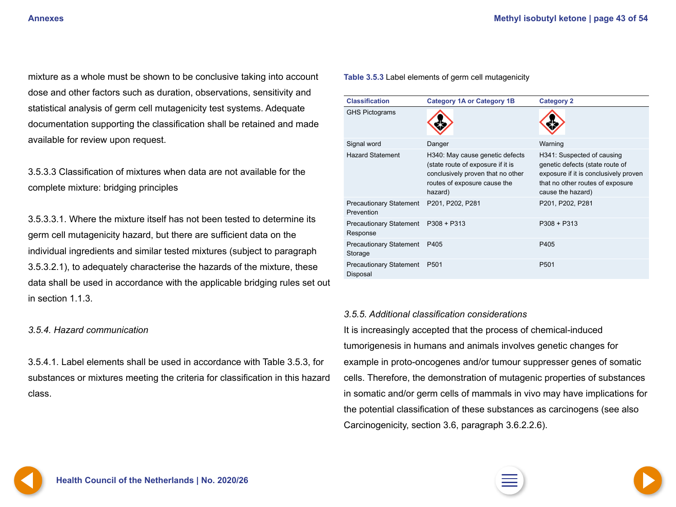<span id="page-42-0"></span>mixture as a whole must be shown to be conclusive taking into account dose and other factors such as duration, observations, sensitivity and statistical analysis of germ cell mutagenicity test systems. Adequate documentation supporting the classification shall be retained and made available for review upon request.

3.5.3.3 Classification of mixtures when data are not available for the complete mixture: bridging principles

3.5.3.3.1. Where the mixture itself has not been tested to determine its germ cell mutagenicity hazard, but there are sufficient data on the individual ingredients and similar tested mixtures (subject to paragraph 3.5.3.2.1), to adequately characterise the hazards of the mixture, these data shall be used in accordance with the applicable bridging rules set out in section 1.1.3.

### *3.5.4. Hazard communication*

3.5.4.1. Label elements shall be used in accordance with Table 3.5.3, for substances or mixtures meeting the criteria for classification in this hazard class.

#### **Table 3.5.3** Label elements of germ cell mutagenicity

| <b>Classification</b>                        | <b>Category 1A or Category 1B</b>                                                                                                                    | <b>Category 2</b>                                                                                                                                               |
|----------------------------------------------|------------------------------------------------------------------------------------------------------------------------------------------------------|-----------------------------------------------------------------------------------------------------------------------------------------------------------------|
| <b>GHS Pictograms</b>                        |                                                                                                                                                      |                                                                                                                                                                 |
| Signal word                                  | Danger                                                                                                                                               | Warning                                                                                                                                                         |
| <b>Hazard Statement</b>                      | H340: May cause genetic defects<br>(state route of exposure if it is<br>conclusively proven that no other<br>routes of exposure cause the<br>hazard) | H341: Suspected of causing<br>genetic defects (state route of<br>exposure if it is conclusively proven<br>that no other routes of exposure<br>cause the hazard) |
| <b>Precautionary Statement</b><br>Prevention | P201, P202, P281                                                                                                                                     | P201, P202, P281                                                                                                                                                |
| <b>Precautionary Statement</b><br>Response   | $P308 + P313$                                                                                                                                        | $P308 + P313$                                                                                                                                                   |
| <b>Precautionary Statement</b><br>Storage    | P405                                                                                                                                                 | P405                                                                                                                                                            |
| <b>Precautionary Statement</b><br>Disposal   | P <sub>501</sub>                                                                                                                                     | P <sub>501</sub>                                                                                                                                                |

#### *3.5.5. Additional classification considerations*

It is increasingly accepted that the process of chemical-induced tumorigenesis in humans and animals involves genetic changes for example in proto-oncogenes and/or tumour suppresser genes of somatic cells. Therefore, the demonstration of mutagenic properties of substances in somatic and/or germ cells of mammals in vivo may have implications for the potential classification of these substances as carcinogens (see also Carcinogenicity, section 3.6, paragraph 3.6.2.2.6).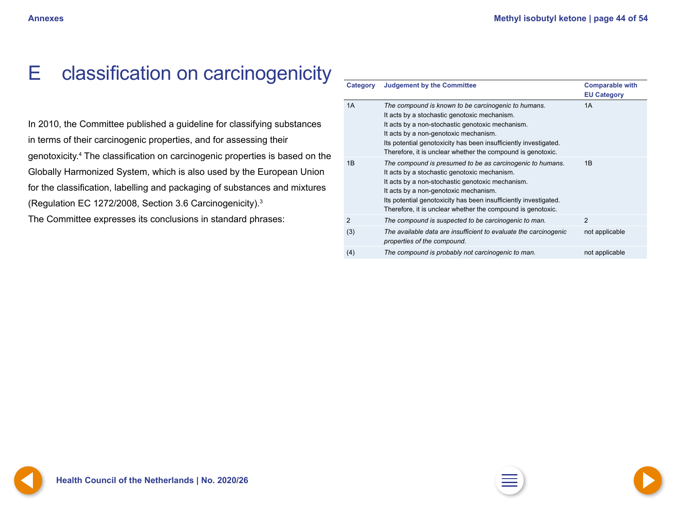## <span id="page-43-0"></span>E classification on carcinogenicity

In 2010, the Committee published a guideline for classifying substances in terms of their carcinogenic properties, and for assessing their genotoxicity.4 The classification on carcinogenic properties is based on the Globally Harmonized System, which is also used by the European Union for the classification, labelling and packaging of substances and mixtures (Regulation EC 1272/2008, Section 3.6 Carcinogenicity).3

The Committee expresses its conclusions in standard phrases:

| <b>Category</b> | <b>Judgement by the Committee</b>                                                                                                                                                                                                                                                                                                         | <b>Comparable with</b><br><b>EU Category</b> |
|-----------------|-------------------------------------------------------------------------------------------------------------------------------------------------------------------------------------------------------------------------------------------------------------------------------------------------------------------------------------------|----------------------------------------------|
| 1A              | The compound is known to be carcinogenic to humans.<br>It acts by a stochastic genotoxic mechanism.<br>It acts by a non-stochastic genotoxic mechanism.<br>It acts by a non-genotoxic mechanism.<br>Its potential genotoxicity has been insufficiently investigated.<br>Therefore, it is unclear whether the compound is genotoxic.       | 1A                                           |
| 1B              | The compound is presumed to be as carcinogenic to humans.<br>It acts by a stochastic genotoxic mechanism.<br>It acts by a non-stochastic genotoxic mechanism.<br>It acts by a non-genotoxic mechanism.<br>Its potential genotoxicity has been insufficiently investigated.<br>Therefore, it is unclear whether the compound is genotoxic. | 1B                                           |
| 2               | The compound is suspected to be carcinogenic to man.                                                                                                                                                                                                                                                                                      | 2                                            |
| (3)             | The available data are insufficient to evaluate the carcinogenic<br>properties of the compound.                                                                                                                                                                                                                                           | not applicable                               |
| (4)             | The compound is probably not carcinogenic to man.                                                                                                                                                                                                                                                                                         | not applicable                               |

**[42](#page-42-0) Health Council of the Netherlands | No. 2020/26 [2](#page-1-0) [44](#page-44-0)**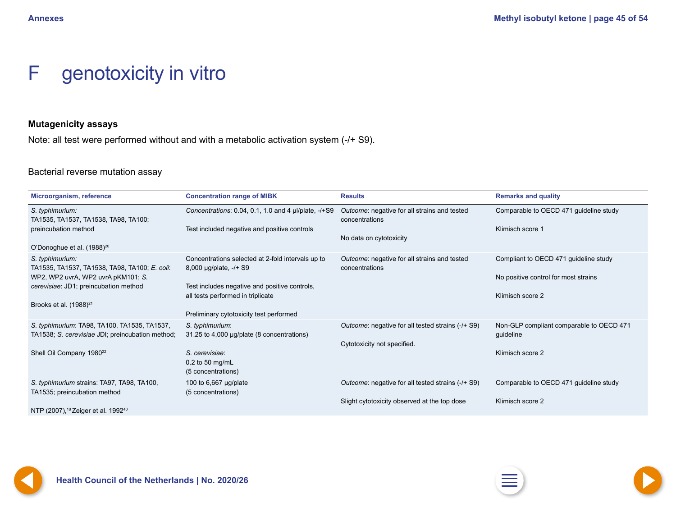## <span id="page-44-0"></span>F genotoxicity in vitro

### **Mutagenicity assays**

Note: all test were performed without and with a metabolic activation system (-/+ S9).

### Bacterial reverse mutation assay

| Microorganism, reference                                                                         | <b>Concentration range of MIBK</b>                                                 | <b>Results</b>                                                 | <b>Remarks and quality</b>                            |
|--------------------------------------------------------------------------------------------------|------------------------------------------------------------------------------------|----------------------------------------------------------------|-------------------------------------------------------|
| S. typhimurium:<br>TA1535, TA1537, TA1538, TA98, TA100;                                          | Concentrations: 0.04, 0.1, 1.0 and 4 µl/plate, -/+S9                               | Outcome: negative for all strains and tested<br>concentrations | Comparable to OECD 471 guideline study                |
| preincubation method                                                                             | Test included negative and positive controls                                       | No data on cytotoxicity                                        | Klimisch score 1                                      |
| O'Donoghue et al. (1988) <sup>20</sup>                                                           |                                                                                    |                                                                |                                                       |
| S. typhimurium:<br>TA1535, TA1537, TA1538, TA98, TA100; E. coli:                                 | Concentrations selected at 2-fold intervals up to<br>8,000 µg/plate, -/+ S9        | Outcome: negative for all strains and tested<br>concentrations | Compliant to OECD 471 guideline study                 |
| WP2, WP2 uvrA, WP2 uvrA pKM101; S.                                                               |                                                                                    |                                                                | No positive control for most strains                  |
| cerevisiae: JD1; preincubation method                                                            | Test includes negative and positive controls,<br>all tests performed in triplicate |                                                                | Klimisch score 2                                      |
| Brooks et al. $(1988)^{21}$                                                                      |                                                                                    |                                                                |                                                       |
|                                                                                                  | Preliminary cytotoxicity test performed                                            |                                                                |                                                       |
| S. typhimurium: TA98, TA100, TA1535, TA1537,<br>TA1538; S. cerevisiae JDI; preincubation method; | S. typhimurium:<br>31.25 to 4,000 µg/plate (8 concentrations)                      | Outcome: negative for all tested strains (-/+ S9)              | Non-GLP compliant comparable to OECD 471<br>guideline |
|                                                                                                  |                                                                                    | Cytotoxicity not specified.                                    |                                                       |
| Shell Oil Company 1980 <sup>22</sup>                                                             | S. cerevisiae:<br>$0.2$ to 50 mg/mL<br>(5 concentrations)                          |                                                                | Klimisch score 2                                      |
| S. typhimurium strains: TA97, TA98, TA100,<br>TA1535; preincubation method                       | 100 to 6,667 µg/plate<br>(5 concentrations)                                        | Outcome: negative for all tested strains (-/+ S9)              | Comparable to OECD 471 guideline study                |
| NTP (2007), <sup>18</sup> Zeiger et al. 1992 <sup>40</sup>                                       |                                                                                    | Slight cytotoxicity observed at the top dose                   | Klimisch score 2                                      |





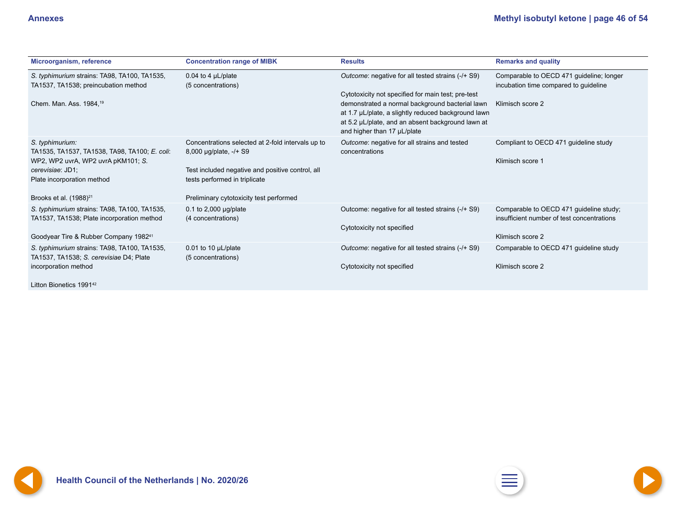<span id="page-45-0"></span>

| Microorganism, reference                                                                                                                                                                       | <b>Concentration range of MIBK</b>                                                                                                                                                                          | <b>Results</b>                                                                                                                                                                             | <b>Remarks and quality</b>                                                                                |
|------------------------------------------------------------------------------------------------------------------------------------------------------------------------------------------------|-------------------------------------------------------------------------------------------------------------------------------------------------------------------------------------------------------------|--------------------------------------------------------------------------------------------------------------------------------------------------------------------------------------------|-----------------------------------------------------------------------------------------------------------|
| S. typhimurium strains: TA98, TA100, TA1535,<br>TA1537, TA1538; preincubation method                                                                                                           | 0.04 to 4 $\mu$ L/plate<br>(5 concentrations)                                                                                                                                                               | Outcome: negative for all tested strains (-/+ S9)<br>Cytotoxicity not specified for main test; pre-test                                                                                    | Comparable to OECD 471 guideline; longer<br>incubation time compared to guideline                         |
| Chem. Man. Ass. 1984, <sup>19</sup>                                                                                                                                                            |                                                                                                                                                                                                             | demonstrated a normal background bacterial lawn<br>at 1.7 µL/plate, a slightly reduced background lawn<br>at 5.2 µL/plate, and an absent background lawn at<br>and higher than 17 µL/plate | Klimisch score 2                                                                                          |
| S. typhimurium:<br>TA1535, TA1537, TA1538, TA98, TA100; E. coli:<br>WP2, WP2 uvrA, WP2 uvrA pKM101; S.<br>cerevisiae: JD1;<br>Plate incorporation method<br>Brooks et al. (1988) <sup>21</sup> | Concentrations selected at 2-fold intervals up to<br>8,000 µg/plate, -/+ S9<br>Test included negative and positive control, all<br>tests performed in triplicate<br>Preliminary cytotoxicity test performed | Outcome: negative for all strains and tested<br>concentrations                                                                                                                             | Compliant to OECD 471 guideline study<br>Klimisch score 1                                                 |
| S. typhimurium strains: TA98, TA100, TA1535,<br>TA1537, TA1538; Plate incorporation method<br>Goodyear Tire & Rubber Company 1982 <sup>41</sup>                                                | 0.1 to 2,000 $\mu$ g/plate<br>(4 concentrations)                                                                                                                                                            | Outcome: negative for all tested strains (-/+ S9)<br>Cytotoxicity not specified                                                                                                            | Comparable to OECD 471 guideline study;<br>insufficient number of test concentrations<br>Klimisch score 2 |
| S. typhimurium strains: TA98, TA100, TA1535,<br>TA1537, TA1538; S. cerevisiae D4; Plate<br>incorporation method                                                                                | 0.01 to 10 $\mu$ L/plate<br>(5 concentrations)                                                                                                                                                              | Outcome: negative for all tested strains (-/+ S9)<br>Cytotoxicity not specified                                                                                                            | Comparable to OECD 471 guideline study<br>Klimisch score 2                                                |

Litton Bionetics 1991<sup>42</sup>

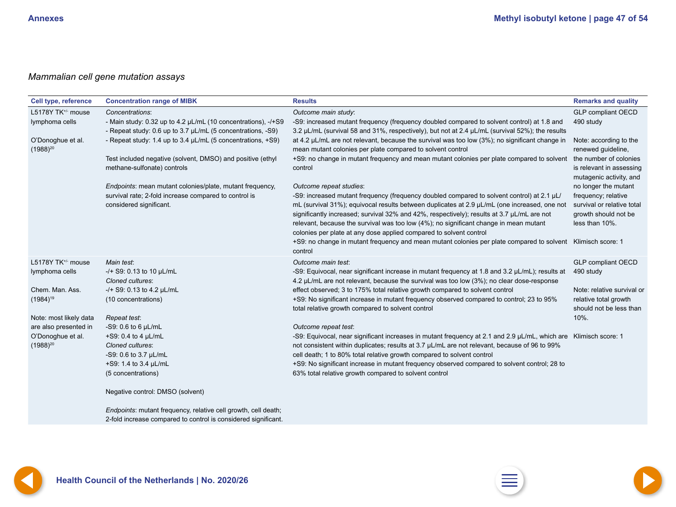### <span id="page-46-0"></span>*Mammalian cell gene mutation assays*

| <b>Cell type, reference</b>        | <b>Concentration range of MIBK</b>                                                                                           | <b>Results</b>                                                                                                                                                                                                                                                                      | <b>Remarks and quality</b>                                                    |
|------------------------------------|------------------------------------------------------------------------------------------------------------------------------|-------------------------------------------------------------------------------------------------------------------------------------------------------------------------------------------------------------------------------------------------------------------------------------|-------------------------------------------------------------------------------|
| L5178Y TK <sup>+/-</sup> mouse     | Concentrations:                                                                                                              | Outcome main study:                                                                                                                                                                                                                                                                 | <b>GLP compliant OECD</b>                                                     |
| lymphoma cells                     | - Main study: 0.32 up to 4.2 µL/mL (10 concentrations), -/+S9<br>- Repeat study: 0.6 up to 3.7 µL/mL (5 concentrations, -S9) | -S9: increased mutant frequency (frequency doubled compared to solvent control) at 1.8 and<br>3.2 µL/mL (survival 58 and 31%, respectively), but not at 2.4 µL/mL (survival 52%); the results                                                                                       | 490 study                                                                     |
| O'Donoghue et al.<br>$(1988)^{20}$ | - Repeat study: 1.4 up to 3.4 µL/mL (5 concentrations, +S9)                                                                  | at 4.2 µL/mL are not relevant, because the survival was too low (3%); no significant change in<br>mean mutant colonies per plate compared to solvent control                                                                                                                        | Note: according to the<br>renewed guideline,                                  |
|                                    | Test included negative (solvent, DMSO) and positive (ethyl<br>methane-sulfonate) controls                                    | +S9: no change in mutant frequency and mean mutant colonies per plate compared to solvent<br>control                                                                                                                                                                                | the number of colonies<br>is relevant in assessing<br>mutagenic activity, and |
|                                    | Endpoints: mean mutant colonies/plate, mutant frequency,                                                                     | Outcome repeat studies:                                                                                                                                                                                                                                                             | no longer the mutant                                                          |
|                                    | survival rate; 2-fold increase compared to control is                                                                        | -S9: increased mutant frequency (frequency doubled compared to solvent control) at 2.1 µL/                                                                                                                                                                                          | frequency; relative                                                           |
|                                    | considered significant.                                                                                                      | mL (survival 31%); equivocal results between duplicates at 2.9 µL/mL (one increased, one not<br>significantly increased; survival 32% and 42%, respectively); results at 3.7 µL/mL are not<br>relevant, because the survival was too low (4%); no significant change in mean mutant | survival or relative total<br>growth should not be<br>less than 10%.          |
|                                    |                                                                                                                              | colonies per plate at any dose applied compared to solvent control                                                                                                                                                                                                                  |                                                                               |
|                                    |                                                                                                                              | +S9: no change in mutant frequency and mean mutant colonies per plate compared to solvent Klimisch score: 1<br>control                                                                                                                                                              |                                                                               |
| L5178Y TK <sup>+/-</sup> mouse     | Main test:                                                                                                                   | Outcome main test:                                                                                                                                                                                                                                                                  | <b>GLP compliant OECD</b>                                                     |
| lymphoma cells                     | -/+ S9: 0.13 to 10 µL/mL                                                                                                     | -S9: Equivocal, near significant increase in mutant frequency at 1.8 and 3.2 $\mu$ L/mL); results at                                                                                                                                                                                | 490 study                                                                     |
|                                    | Cloned cultures:                                                                                                             | 4.2 µL/mL are not relevant, because the survival was too low (3%); no clear dose-response                                                                                                                                                                                           |                                                                               |
| Chem. Man. Ass.                    | -/+ S9: 0.13 to 4.2 µL/mL                                                                                                    | effect observed; 3 to 175% total relative growth compared to solvent control                                                                                                                                                                                                        | Note: relative survival or                                                    |
| $(1984)^{19}$                      | (10 concentrations)                                                                                                          | +S9: No significant increase in mutant frequency observed compared to control; 23 to 95%<br>total relative growth compared to solvent control                                                                                                                                       | relative total growth<br>should not be less than                              |
| Note: most likely data             | Repeat test:                                                                                                                 |                                                                                                                                                                                                                                                                                     | 10%.                                                                          |
| are also presented in              | $-S9: 0.6$ to 6 $\mu L/mL$                                                                                                   | Outcome repeat test:                                                                                                                                                                                                                                                                |                                                                               |
| O'Donoghue et al.                  | +S9: 0.4 to 4 $\mu$ L/mL                                                                                                     | -S9: Equivocal, near significant increases in mutant frequency at 2.1 and 2.9 µL/mL, which are Klimisch score: 1                                                                                                                                                                    |                                                                               |
| $(1988)^{20}$                      | Cloned cultures:                                                                                                             | not consistent within duplicates; results at 3.7 µL/mL are not relevant, because of 96 to 99%                                                                                                                                                                                       |                                                                               |
|                                    | -S9: 0.6 to 3.7 µL/mL                                                                                                        | cell death; 1 to 80% total relative growth compared to solvent control                                                                                                                                                                                                              |                                                                               |
|                                    | +S9: 1.4 to 3.4 µL/mL                                                                                                        | +S9: No significant increase in mutant frequency observed compared to solvent control; 28 to                                                                                                                                                                                        |                                                                               |
|                                    | (5 concentrations)                                                                                                           | 63% total relative growth compared to solvent control                                                                                                                                                                                                                               |                                                                               |
|                                    | Negative control: DMSO (solvent)                                                                                             |                                                                                                                                                                                                                                                                                     |                                                                               |
|                                    | Endpoints: mutant frequency, relative cell growth, cell death;                                                               |                                                                                                                                                                                                                                                                                     |                                                                               |
|                                    | 2-fold increase compared to control is considered significant.                                                               |                                                                                                                                                                                                                                                                                     |                                                                               |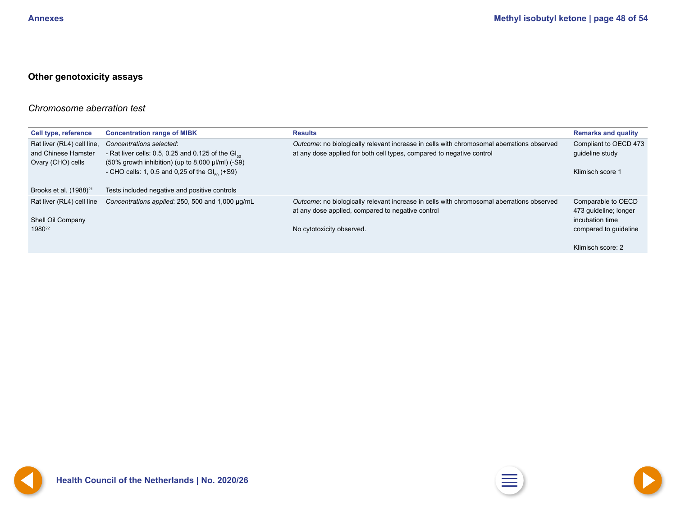### <span id="page-47-0"></span>**Other genotoxicity assays**

### *Chromosome aberration test*

| <b>Cell type, reference</b>                                            | <b>Concentration range of MIBK</b>                                                                                                                                                                | <b>Results</b>                                                                                                                                                              | <b>Remarks and quality</b>                                                              |
|------------------------------------------------------------------------|---------------------------------------------------------------------------------------------------------------------------------------------------------------------------------------------------|-----------------------------------------------------------------------------------------------------------------------------------------------------------------------------|-----------------------------------------------------------------------------------------|
| Rat liver (RL4) cell line,<br>and Chinese Hamster<br>Ovary (CHO) cells | Concentrations selected:<br>- Rat liver cells: 0.5, 0.25 and 0.125 of the $Glso$<br>$(50\%$ growth inhibition) (up to 8,000 $\mu$ I/mI) (-S9)<br>- CHO cells: 1, 0.5 and 0,25 of the $Glso$ (+S9) | Outcome: no biologically relevant increase in cells with chromosomal aberrations observed<br>at any dose applied for both cell types, compared to negative control          | Compliant to OECD 473<br>guideline study<br>Klimisch score 1                            |
| Brooks et al. (1988) <sup>21</sup>                                     | Tests included negative and positive controls                                                                                                                                                     |                                                                                                                                                                             |                                                                                         |
| Rat liver (RL4) cell line<br>Shell Oil Company<br>1980 <sup>22</sup>   | Concentrations applied: 250, 500 and 1,000 µg/mL                                                                                                                                                  | Outcome: no biologically relevant increase in cells with chromosomal aberrations observed<br>at any dose applied, compared to negative control<br>No cytotoxicity observed. | Comparable to OECD<br>473 guideline; longer<br>incubation time<br>compared to guideline |
|                                                                        |                                                                                                                                                                                                   |                                                                                                                                                                             | Klimisch score: 2                                                                       |



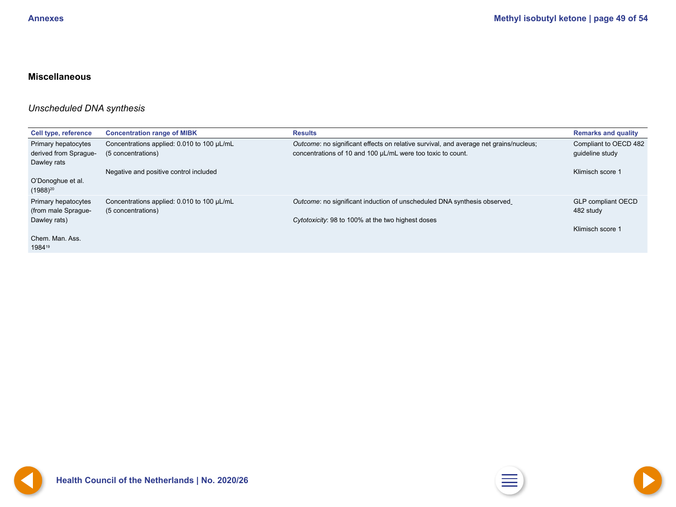### <span id="page-48-0"></span>**Miscellaneous**

### *Unscheduled DNA synthesis*

| <b>Cell type, reference</b>                  | <b>Concentration range of MIBK</b>                               | <b>Results</b>                                                                                                                                       | <b>Remarks and quality</b>               |
|----------------------------------------------|------------------------------------------------------------------|------------------------------------------------------------------------------------------------------------------------------------------------------|------------------------------------------|
| Primary hepatocytes<br>derived from Sprague- | Concentrations applied: 0.010 to 100 µL/mL<br>(5 concentrations) | Outcome: no significant effects on relative survival, and average net grains/nucleus;<br>concentrations of 10 and 100 µL/mL were too toxic to count. | Compliant to OECD 482<br>guideline study |
| Dawley rats                                  |                                                                  |                                                                                                                                                      |                                          |
|                                              | Negative and positive control included                           |                                                                                                                                                      | Klimisch score 1                         |
| O'Donoghue et al.<br>$(1988)^{20}$           |                                                                  |                                                                                                                                                      |                                          |
| Primary hepatocytes<br>(from male Sprague-   | Concentrations applied: 0.010 to 100 µL/mL<br>(5 concentrations) | Outcome: no significant induction of unscheduled DNA synthesis observed                                                                              | <b>GLP compliant OECD</b><br>482 study   |
| Dawley rats)                                 |                                                                  | Cytotoxicity: 98 to 100% at the two highest doses                                                                                                    |                                          |
|                                              |                                                                  |                                                                                                                                                      | Klimisch score 1                         |
| Chem. Man. Ass.                              |                                                                  |                                                                                                                                                      |                                          |
| 198419                                       |                                                                  |                                                                                                                                                      |                                          |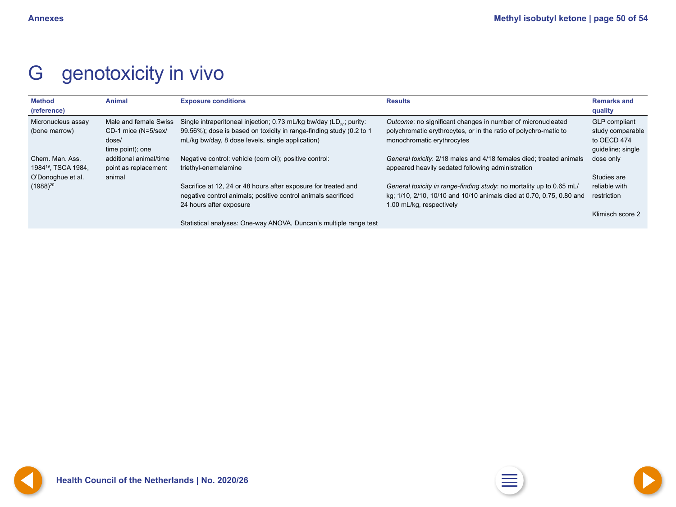## <span id="page-49-0"></span>G genotoxicity in vivo

| <b>Method</b><br>(reference)                                            | <b>Animal</b>                                                             | <b>Exposure conditions</b>                                                                                                                                                                                 | <b>Results</b>                                                                                                                                                           | <b>Remarks and</b><br>quality                                                |
|-------------------------------------------------------------------------|---------------------------------------------------------------------------|------------------------------------------------------------------------------------------------------------------------------------------------------------------------------------------------------------|--------------------------------------------------------------------------------------------------------------------------------------------------------------------------|------------------------------------------------------------------------------|
| Micronucleus assay<br>(bone marrow)                                     | Male and female Swiss<br>CD-1 mice (N=5/sex/<br>dose/<br>time point); one | Single intraperitoneal injection; 0.73 mL/kg bw/day (LD <sub>20</sub> ; purity:<br>99.56%); dose is based on toxicity in range-finding study (0.2 to 1<br>mL/kg bw/day, 8 dose levels, single application) | Outcome: no significant changes in number of micronucleated<br>polychromatic erythrocytes, or in the ratio of polychro-matic to<br>monochromatic erythrocytes            | <b>GLP</b> compliant<br>study comparable<br>to OECD 474<br>guideline; single |
| Chem. Man. Ass.<br>1984 <sup>19</sup> , TSCA 1984,<br>O'Donoghue et al. | additional animal/time<br>point as replacement<br>animal                  | Negative control: vehicle (corn oil); positive control:<br>triethyl-enemelamine                                                                                                                            | General toxicity: 2/18 males and 4/18 females died; treated animals<br>appeared heavily sedated following administration                                                 | dose only<br>Studies are                                                     |
| $(1988)^{20}$                                                           |                                                                           | Sacrifice at 12, 24 or 48 hours after exposure for treated and<br>negative control animals; positive control animals sacrificed<br>24 hours after exposure                                                 | General toxicity in range-finding study: no mortality up to 0.65 mL/<br>kg; 1/10, 2/10, 10/10 and 10/10 animals died at 0.70, 0.75, 0.80 and<br>1.00 mL/kg, respectively | reliable with<br>restriction                                                 |
|                                                                         |                                                                           | Statistical analyses: One-way ANOVA, Duncan's multiple range test                                                                                                                                          |                                                                                                                                                                          | Klimisch score 2                                                             |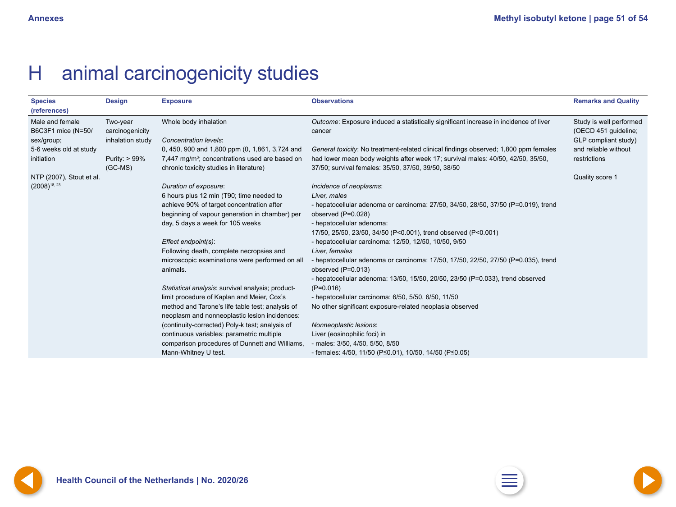## <span id="page-50-0"></span>H animal carcinogenicity studies

| <b>Species</b><br>(references)                      | <b>Design</b>                                   | <b>Exposure</b>                                                                                                                                         | <b>Observations</b>                                                                                                                                                                                                            | <b>Remarks and Quality</b>                                              |
|-----------------------------------------------------|-------------------------------------------------|---------------------------------------------------------------------------------------------------------------------------------------------------------|--------------------------------------------------------------------------------------------------------------------------------------------------------------------------------------------------------------------------------|-------------------------------------------------------------------------|
| Male and female<br>B6C3F1 mice (N=50/<br>sex/group; | Two-year<br>carcinogenicity<br>inhalation study | Whole body inhalation<br><b>Concentration levels:</b>                                                                                                   | Outcome: Exposure induced a statistically significant increase in incidence of liver<br>cancer                                                                                                                                 | Study is well performed<br>(OECD 451 guideline;<br>GLP compliant study) |
| 5-6 weeks old at study<br>initiation                | Purity: > 99%<br>$(GC-MS)$                      | 0, 450, 900 and 1,800 ppm (0, 1,861, 3,724 and<br>7,447 mg/m <sup>3</sup> ; concentrations used are based on<br>chronic toxicity studies in literature) | General toxicity: No treatment-related clinical findings observed; 1,800 ppm females<br>had lower mean body weights after week 17; survival males: 40/50, 42/50, 35/50,<br>37/50; survival females: 35/50, 37/50, 39/50, 38/50 | and reliable without<br>restrictions                                    |
| NTP (2007), Stout et al.                            |                                                 |                                                                                                                                                         |                                                                                                                                                                                                                                | Quality score 1                                                         |
| $(2008)^{18, 23}$                                   |                                                 | Duration of exposure:                                                                                                                                   | Incidence of neoplasms:                                                                                                                                                                                                        |                                                                         |
|                                                     |                                                 | 6 hours plus 12 min (T90; time needed to                                                                                                                | Liver, males                                                                                                                                                                                                                   |                                                                         |
|                                                     |                                                 | achieve 90% of target concentration after                                                                                                               | - hepatocellular adenoma or carcinoma: 27/50, 34/50, 28/50, 37/50 (P=0.019), trend                                                                                                                                             |                                                                         |
|                                                     |                                                 | beginning of vapour generation in chamber) per                                                                                                          | observed (P=0.028)                                                                                                                                                                                                             |                                                                         |
|                                                     |                                                 | day, 5 days a week for 105 weeks                                                                                                                        | - hepatocellular adenoma:                                                                                                                                                                                                      |                                                                         |
|                                                     |                                                 |                                                                                                                                                         | 17/50, 25/50, 23/50, 34/50 (P<0.001), trend observed (P<0.001)                                                                                                                                                                 |                                                                         |
|                                                     |                                                 | Effect endpoint(s):                                                                                                                                     | - hepatocellular carcinoma: 12/50, 12/50, 10/50, 9/50                                                                                                                                                                          |                                                                         |
|                                                     |                                                 | Following death, complete necropsies and                                                                                                                | Liver, females                                                                                                                                                                                                                 |                                                                         |
|                                                     |                                                 | microscopic examinations were performed on all<br>animals.                                                                                              | - hepatocellular adenoma or carcinoma: 17/50, 17/50, 22/50, 27/50 (P=0.035), trend<br>observed $(P=0.013)$                                                                                                                     |                                                                         |
|                                                     |                                                 |                                                                                                                                                         | - hepatocellular adenoma: 13/50, 15/50, 20/50, 23/50 (P=0.033), trend observed                                                                                                                                                 |                                                                         |
|                                                     |                                                 | Statistical analysis: survival analysis; product-                                                                                                       | $(P=0.016)$                                                                                                                                                                                                                    |                                                                         |
|                                                     |                                                 | limit procedure of Kaplan and Meier, Cox's                                                                                                              | - hepatocellular carcinoma: 6/50, 5/50, 6/50, 11/50                                                                                                                                                                            |                                                                         |
|                                                     |                                                 | method and Tarone's life table test; analysis of<br>neoplasm and nonneoplastic lesion incidences:                                                       | No other significant exposure-related neoplasia observed                                                                                                                                                                       |                                                                         |
|                                                     |                                                 | (continuity-corrected) Poly-k test; analysis of                                                                                                         | Nonneoplastic lesions:                                                                                                                                                                                                         |                                                                         |
|                                                     |                                                 | continuous variables: parametric multiple                                                                                                               | Liver (eosinophilic foci) in                                                                                                                                                                                                   |                                                                         |
|                                                     |                                                 | comparison procedures of Dunnett and Williams,                                                                                                          | - males: 3/50, 4/50, 5/50, 8/50                                                                                                                                                                                                |                                                                         |
|                                                     |                                                 | Mann-Whitney U test.                                                                                                                                    | - females: $4/50$ , $11/50$ (P $\leq$ 0.01), 10/50, 14/50 (P $\leq$ 0.05)                                                                                                                                                      |                                                                         |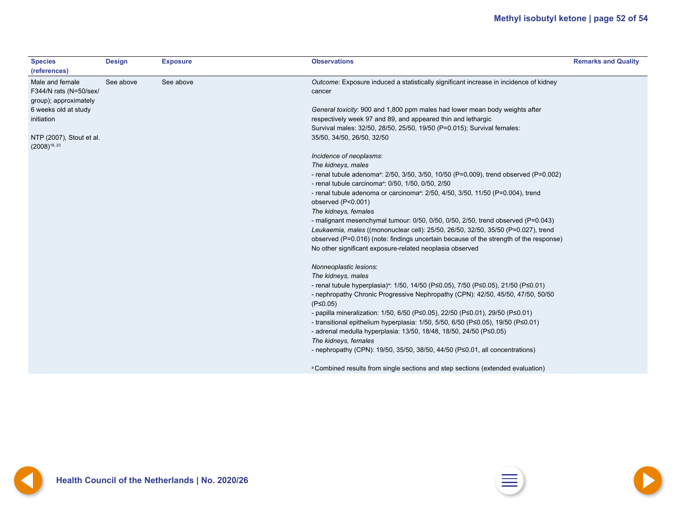<span id="page-51-0"></span>

| <b>Species</b><br>(references)                                     | <b>Design</b> | <b>Exposure</b> | <b>Observations</b>                                                                                | <b>Remarks and Quality</b> |
|--------------------------------------------------------------------|---------------|-----------------|----------------------------------------------------------------------------------------------------|----------------------------|
| Male and female<br>F344/N rats (N=50/sex/<br>group); approximately | See above     | See above       | Outcome: Exposure induced a statistically significant increase in incidence of kidney<br>cancer    |                            |
| 6 weeks old at study                                               |               |                 | General toxicity: 900 and 1,800 ppm males had lower mean body weights after                        |                            |
| initiation                                                         |               |                 | respectively week 97 and 89, and appeared thin and lethargic                                       |                            |
|                                                                    |               |                 | Survival males: 32/50, 28/50, 25/50, 19/50 (P=0.015); Survival females:                            |                            |
| NTP (2007), Stout et al.<br>$(2008)^{18, 23}$                      |               |                 | 35/50, 34/50, 26/50, 32/50                                                                         |                            |
|                                                                    |               |                 | Incidence of neoplasms:                                                                            |                            |
|                                                                    |               |                 | The kidneys, males                                                                                 |                            |
|                                                                    |               |                 | - renal tubule adenoma <sup>a</sup> : 2/50, 3/50, 3/50, 10/50 (P=0.009), trend observed (P=0.002)  |                            |
|                                                                    |               |                 | - renal tubule carcinoma <sup>a</sup> : 0/50, 1/50, 0/50, 2/50                                     |                            |
|                                                                    |               |                 | - renal tubule adenoma or carcinoma <sup>a</sup> : 2/50, 4/50, 3/50, 11/50 (P=0.004), trend        |                            |
|                                                                    |               |                 | observed (P<0.001)                                                                                 |                            |
|                                                                    |               |                 | The kidneys, females                                                                               |                            |
|                                                                    |               |                 | - malignant mesenchymal tumour: 0/50, 0/50, 0/50, 2/50, trend observed (P=0.043)                   |                            |
|                                                                    |               |                 | Leukaemia, males ((mononuclear cell): 25/50, 26/50, 32/50, 35/50 (P=0.027), trend                  |                            |
|                                                                    |               |                 | observed (P=0.016) (note: findings uncertain because of the strength of the response)              |                            |
|                                                                    |               |                 | No other significant exposure-related neoplasia observed                                           |                            |
|                                                                    |               |                 | Nonneoplastic lesions:                                                                             |                            |
|                                                                    |               |                 | The kidneys, males                                                                                 |                            |
|                                                                    |               |                 | - renal tubule hyperplasia) <sup>a</sup> : 1/50, 14/50 (P≤0.05), 7/50 (P≤0.05), 21/50 (P≤0.01)     |                            |
|                                                                    |               |                 | - nephropathy Chronic Progressive Nephropathy (CPN): 42/50, 45/50, 47/50, 50/50                    |                            |
|                                                                    |               |                 | $(P \le 0.05)$                                                                                     |                            |
|                                                                    |               |                 | - papilla mineralization: 1/50, 6/50 (P $\leq$ 0.05), 22/50 (P $\leq$ 0.01), 29/50 (P $\leq$ 0.01) |                            |
|                                                                    |               |                 | - transitional epithelium hyperplasia: 1/50, 5/50, 6/50 (P≤0.05), 19/50 (P≤0.01)                   |                            |
|                                                                    |               |                 | - adrenal medulla hyperplasia: 13/50, 18/48, 18/50, 24/50 (P<0.05)                                 |                            |
|                                                                    |               |                 | The kidneys, females                                                                               |                            |
|                                                                    |               |                 | - nephropathy (CPN): 19/50, 35/50, 38/50, 44/50 ( $P \le 0.01$ , all concentrations)               |                            |
|                                                                    |               |                 | <sup>a</sup> Combined results from single sections and step sections (extended evaluation)         |                            |

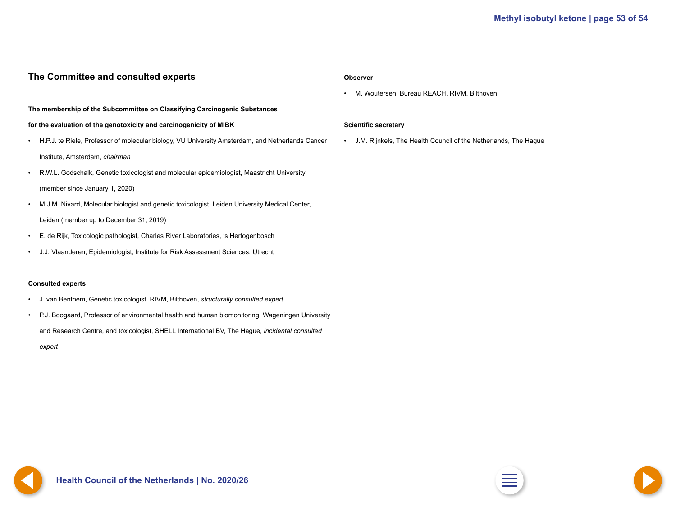### <span id="page-52-0"></span>**The Committee and consulted experts**

#### **The membership of the Subcommittee on Classifying Carcinogenic Substances**

#### **for the evaluation of the genotoxicity and carcinogenicity of MIBK**

- H.P.J. te Riele, Professor of molecular biology, VU University Amsterdam, and Netherlands Cancer Institute, Amsterdam, *chairman*
- R.W.L. Godschalk, Genetic toxicologist and molecular epidemiologist, Maastricht University (member since January 1, 2020)
- M.J.M. Nivard, Molecular biologist and genetic toxicologist, Leiden University Medical Center, Leiden (member up to December 31, 2019)
- E. de Rijk, Toxicologic pathologist, Charles River Laboratories, 's Hertogenbosch
- J.J. Vlaanderen, Epidemiologist, Institute for Risk Assessment Sciences, Utrecht

#### **Consulted experts**

- J. van Benthem, Genetic toxicologist, RIVM, Bilthoven, *structurally consulted expert*
- P.J. Boogaard, Professor of environmental health and human biomonitoring, Wageningen University and Research Centre, and toxicologist, SHELL International BV, The Hague, *incidental consulted*

*expert*

#### **Observer**

• M. Woutersen, Bureau REACH, RIVM, Bilthoven

#### **Scientific secretary**

• J.M. Rijnkels, The Health Council of the Netherlands, The Hague